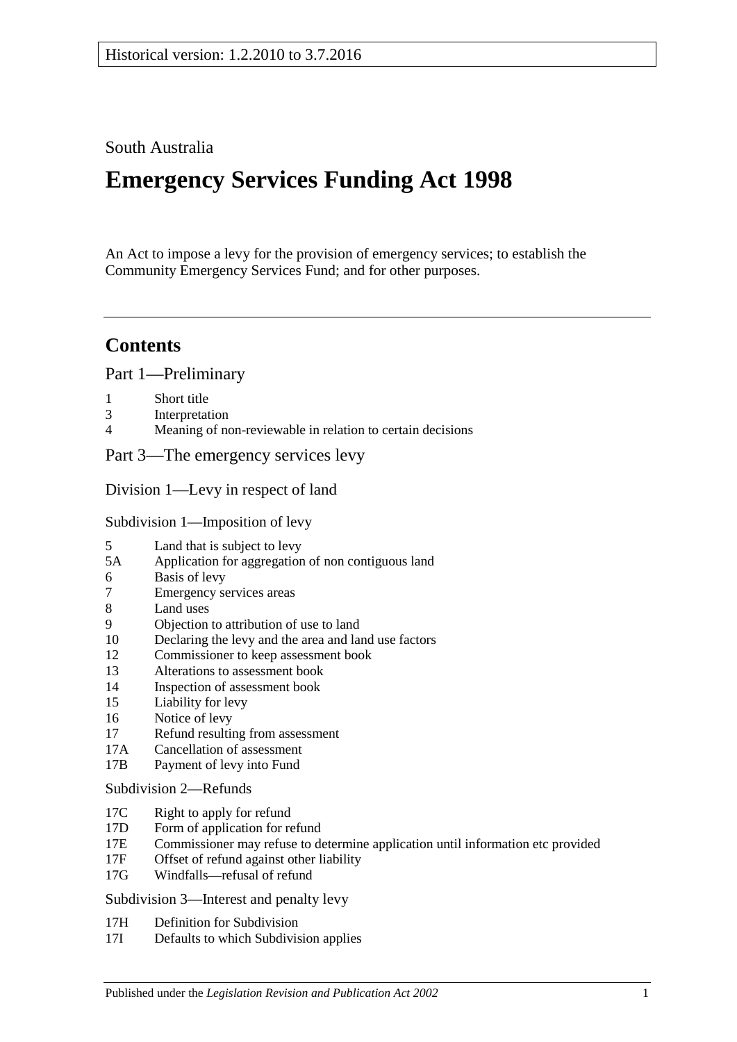## South Australia

# **Emergency Services Funding Act 1998**

An Act to impose a levy for the provision of emergency services; to establish the Community Emergency Services Fund; and for other purposes.

## **Contents**

[Part 1—Preliminary](#page-2-0)

- 1 [Short title](#page-2-1)<br>3 Interpretat
- 3 [Interpretation](#page-2-2)<br>4 Meaning of no
- [Meaning of non-reviewable in relation to certain decisions](#page-4-0)

[Part 3—The emergency services levy](#page-4-1)

[Division 1—Levy in respect of land](#page-4-2)

[Subdivision 1—Imposition of levy](#page-4-3)

- 5 [Land that is subject to levy](#page-4-4)<br>5A Application for aggregation
- [Application for aggregation of non contiguous land](#page-6-0)
- 6 [Basis of levy](#page-6-1)
- 7 [Emergency services areas](#page-7-0)
- 8 [Land uses](#page-7-1)
- 9 [Objection to attribution of use to land](#page-8-0)
- 10 [Declaring the levy and the area and land use factors](#page-8-1)
- 12 [Commissioner to keep assessment book](#page-10-0)<br>13 Alterations to assessment book
- 13 [Alterations to assessment book](#page-11-0)<br>14 Inspection of assessment book
- [Inspection of assessment book](#page-11-1)
- 15 [Liability for levy](#page-11-2)
- 16 [Notice of levy](#page-12-0)
- 17 [Refund resulting from assessment](#page-12-1)
- 17A [Cancellation of assessment](#page-12-2)<br>17B Payment of levy into Fund
- [Payment of levy into Fund](#page-12-3)

#### [Subdivision 2—Refunds](#page-13-0)

- 17C [Right to apply for refund](#page-13-1)
- 17D [Form of application for refund](#page-13-2)
- 17E [Commissioner may refuse to determine application until information etc provided](#page-13-3)<br>17F Offset of refund against other liability
- [Offset of refund against other liability](#page-13-4)
- 17G [Windfalls—refusal of refund](#page-14-0)

[Subdivision 3—Interest and penalty levy](#page-14-1)

- 17H [Definition for Subdivision](#page-14-2)
- 17I [Defaults to which Subdivision applies](#page-14-3)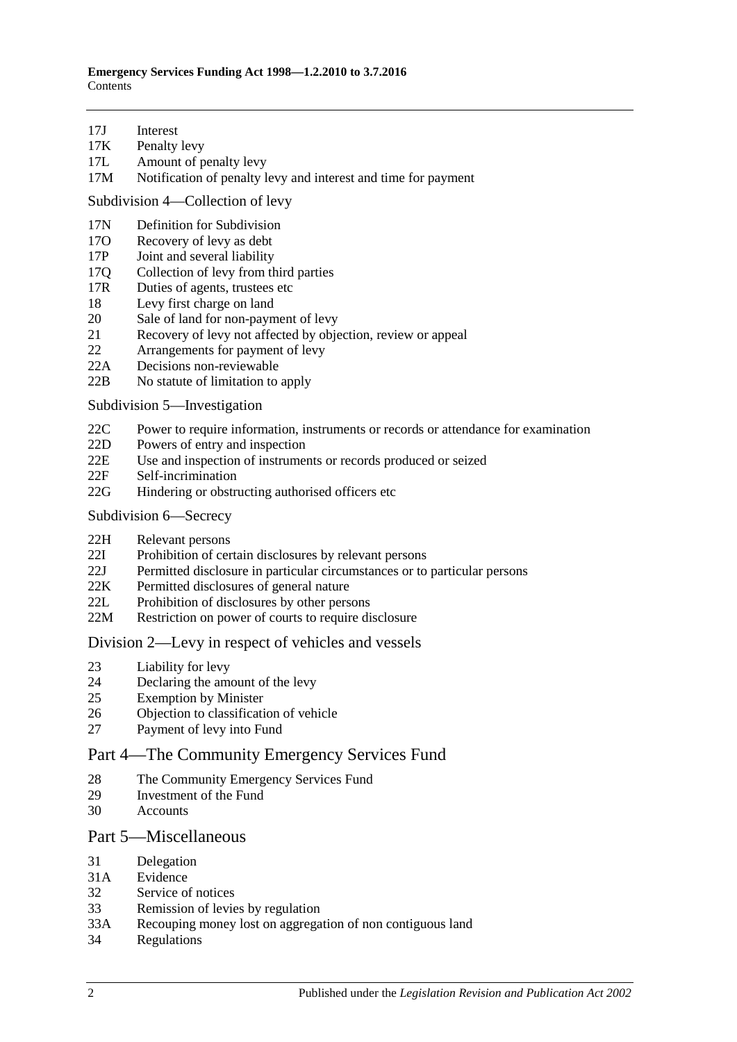- 17J [Interest](#page-14-4)<br>17K Penalty
- [Penalty levy](#page-15-0)
- 17L [Amount of penalty levy](#page-15-1)
- 17M [Notification of penalty levy and interest and time for payment](#page-15-2)

[Subdivision 4—Collection of levy](#page-16-0)

- 17N [Definition for](#page-16-1) Subdivision<br>170 Recovery of levy as debt
- 17O [Recovery of levy as debt](#page-16-2)<br>17P Joint and several liability
- [Joint and several liability](#page-16-3)
- 17Q [Collection of levy from third parties](#page-16-4)
- 17R [Duties of agents, trustees etc](#page-17-0)<br>18 Levy first charge on land
- 18 [Levy first charge on land](#page-18-0)<br>20 Sale of land for non-payn
- 20 [Sale of land for non-payment of levy](#page-18-1)<br>21 Recovery of levy not affected by object
- [Recovery of levy not affected by objection, review or appeal](#page-19-0)
- 22 [Arrangements for payment of levy](#page-20-0)
- 22A [Decisions non-reviewable](#page-20-1)<br>22B No statute of limitation to
- [No statute of limitation to apply](#page-20-2)

[Subdivision 5—Investigation](#page-20-3)

- 22C [Power to require information, instruments or records or attendance for examination](#page-20-4)
- 22D [Powers of entry and inspection](#page-21-0)<br>22E Use and inspection of instrumer
- [Use and inspection of instruments or records produced or seized](#page-21-1)
- 22F [Self-incrimination](#page-22-0)
- 22G [Hindering or obstructing authorised officers etc](#page-22-1)
- [Subdivision 6—Secrecy](#page-23-0)
- 22H [Relevant persons](#page-23-1)<br>22I Prohibition of cer
- [Prohibition of certain disclosures by relevant persons](#page-23-2)
- 22J [Permitted disclosure in particular circumstances or to particular persons](#page-23-3)
- 22K [Permitted disclosures of general nature](#page-23-4)
- 22L [Prohibition of disclosures by other persons](#page-23-5)
- 22M [Restriction on power of courts to require disclosure](#page-24-0)

#### [Division 2—Levy in respect of vehicles and vessels](#page-24-1)

- 23 [Liability for levy](#page-24-2)
- 24 [Declaring the amount of the levy](#page-24-3)<br>25 Exemption by Minister
- **[Exemption by Minister](#page-25-0)**
- 26 [Objection to classification of vehicle](#page-25-1)
- 27 [Payment of levy into Fund](#page-26-0)

#### [Part 4—The Community Emergency Services Fund](#page-26-1)

- 28 [The Community Emergency Services Fund](#page-26-2)
- 29 [Investment of the Fund](#page-27-0)
- 30 [Accounts](#page-27-1)

#### [Part 5—Miscellaneous](#page-27-2)

- 31 [Delegation](#page-27-3)
- 31A [Evidence](#page-28-0)
- 32 [Service of notices](#page-28-1)
- 33 [Remission of levies by regulation](#page-28-2)
- 33A [Recouping money lost on aggregation of non contiguous land](#page-29-0)
- 34 [Regulations](#page-29-1)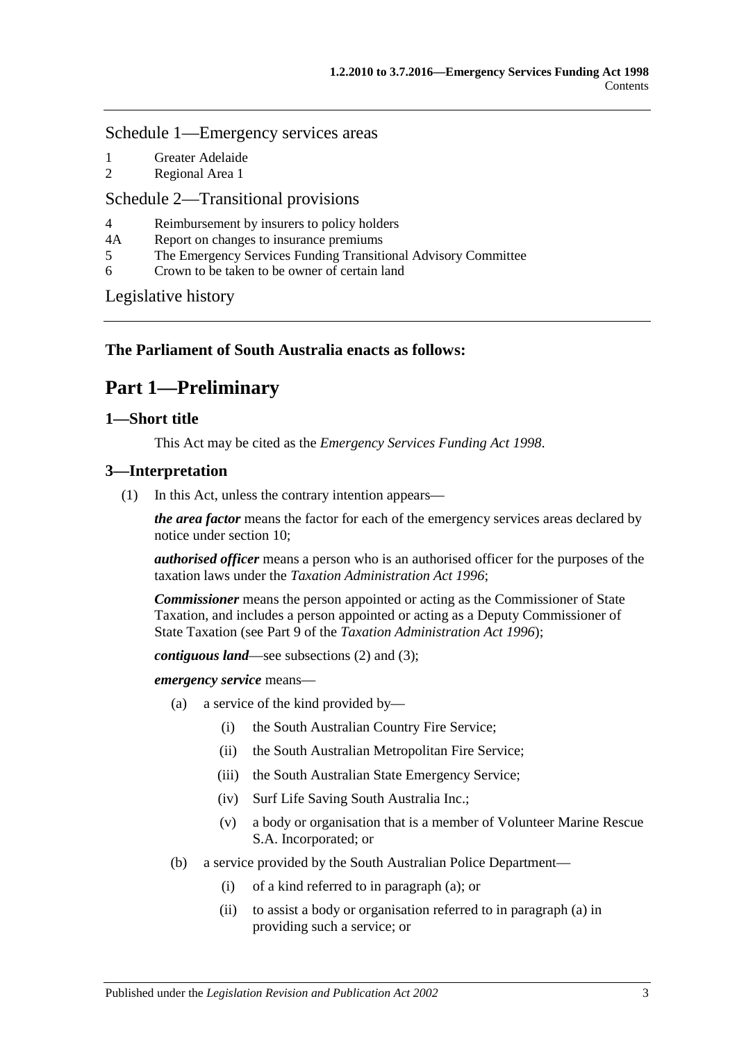#### [Schedule 1—Emergency services areas](#page-29-2)

- 1 [Greater Adelaide](#page-29-3)<br>2 Regional Area 1
- [Regional Area 1](#page-30-0)

## [Schedule 2—Transitional provisions](#page-30-1)

- 4 [Reimbursement by insurers to policy holders](#page-30-2)<br>4A Report on changes to insurance premiums
- 4A [Report on changes to insurance premiums](#page-31-0)<br>5 The Emergency Services Funding Transiti
- 5 [The Emergency Services Funding Transitional Advisory Committee](#page-31-1)
- 6 [Crown to be taken to be owner of certain land](#page-32-0)

[Legislative history](#page-34-0)

## <span id="page-2-0"></span>**The Parliament of South Australia enacts as follows:**

## **Part 1—Preliminary**

## <span id="page-2-1"></span>**1—Short title**

This Act may be cited as the *Emergency Services Funding Act 1998*.

## <span id="page-2-5"></span><span id="page-2-2"></span>**3—Interpretation**

(1) In this Act, unless the contrary intention appears—

*the area factor* means the factor for each of the emergency services areas declared by notice under [section](#page-8-1) 10;

*authorised officer* means a person who is an authorised officer for the purposes of the taxation laws under the *[Taxation Administration Act](http://www.legislation.sa.gov.au/index.aspx?action=legref&type=act&legtitle=Taxation%20Administration%20Act%201996) 1996*;

*Commissioner* means the person appointed or acting as the Commissioner of State Taxation, and includes a person appointed or acting as a Deputy Commissioner of State Taxation (see Part 9 of the *[Taxation Administration Act](http://www.legislation.sa.gov.au/index.aspx?action=legref&type=act&legtitle=Taxation%20Administration%20Act%201996) 1996*);

*contiguous land*—see [subsections](#page-4-5) (2) and [\(3\);](#page-4-6)

<span id="page-2-3"></span>*emergency service* means—

- (a) a service of the kind provided by—
	- (i) the South Australian Country Fire Service;
	- (ii) the South Australian Metropolitan Fire Service;
	- (iii) the South Australian State Emergency Service;
	- (iv) Surf Life Saving South Australia Inc.;
	- (v) a body or organisation that is a member of Volunteer Marine Rescue S.A. Incorporated; or
- <span id="page-2-4"></span>(b) a service provided by the South Australian Police Department—
	- (i) of a kind referred to in [paragraph](#page-2-3) (a); or
	- (ii) to assist a body or organisation referred to i[n paragraph](#page-2-3) (a) in providing such a service; or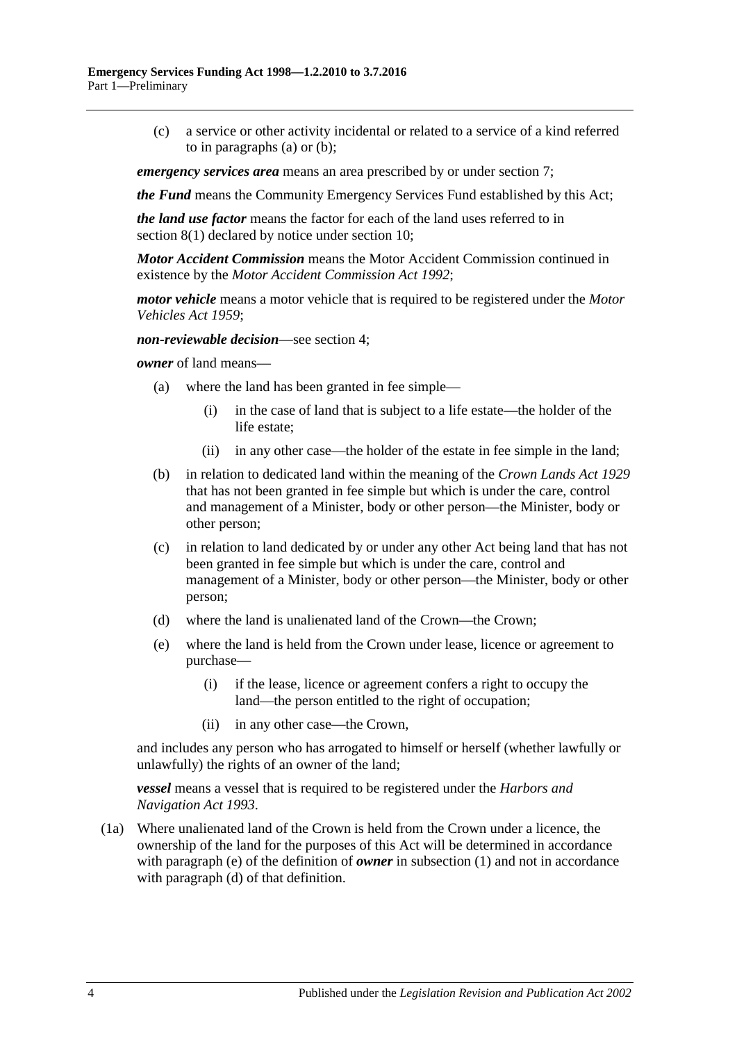(c) a service or other activity incidental or related to a service of a kind referred to in [paragraphs](#page-2-3) (a) or [\(b\);](#page-2-4)

*emergency services area* means an area prescribed by or under [section](#page-7-0) 7;

*the Fund* means the Community Emergency Services Fund established by this Act;

*the land use factor* means the factor for each of the land uses referred to in [section](#page-7-2) 8(1) declared by notice under [section](#page-8-1) 10;

*Motor Accident Commission* means the Motor Accident Commission continued in existence by the *[Motor Accident Commission Act](http://www.legislation.sa.gov.au/index.aspx?action=legref&type=act&legtitle=Motor%20Accident%20Commission%20Act%201992) 1992*;

*motor vehicle* means a motor vehicle that is required to be registered under the *[Motor](http://www.legislation.sa.gov.au/index.aspx?action=legref&type=act&legtitle=Motor%20Vehicles%20Act%201959)  [Vehicles Act](http://www.legislation.sa.gov.au/index.aspx?action=legref&type=act&legtitle=Motor%20Vehicles%20Act%201959) 1959*;

*non-reviewable decision*—see [section](#page-4-0) 4;

*owner* of land means—

- (a) where the land has been granted in fee simple—
	- (i) in the case of land that is subject to a life estate—the holder of the life estate;
	- (ii) in any other case—the holder of the estate in fee simple in the land;
- (b) in relation to dedicated land within the meaning of the *[Crown Lands Act](http://www.legislation.sa.gov.au/index.aspx?action=legref&type=act&legtitle=Crown%20Lands%20Act%201929) 1929* that has not been granted in fee simple but which is under the care, control and management of a Minister, body or other person—the Minister, body or other person;
- (c) in relation to land dedicated by or under any other Act being land that has not been granted in fee simple but which is under the care, control and management of a Minister, body or other person—the Minister, body or other person;
- <span id="page-3-1"></span>(d) where the land is unalienated land of the Crown—the Crown;
- <span id="page-3-0"></span>(e) where the land is held from the Crown under lease, licence or agreement to purchase—
	- (i) if the lease, licence or agreement confers a right to occupy the land—the person entitled to the right of occupation;
	- (ii) in any other case—the Crown,

and includes any person who has arrogated to himself or herself (whether lawfully or unlawfully) the rights of an owner of the land;

*vessel* means a vessel that is required to be registered under the *[Harbors and](http://www.legislation.sa.gov.au/index.aspx?action=legref&type=act&legtitle=Harbors%20and%20Navigation%20Act%201993)  [Navigation Act](http://www.legislation.sa.gov.au/index.aspx?action=legref&type=act&legtitle=Harbors%20and%20Navigation%20Act%201993) 1993*.

(1a) Where unalienated land of the Crown is held from the Crown under a licence, the ownership of the land for the purposes of this Act will be determined in accordance with [paragraph](#page-3-0) (e) of the definition of *owner* in [subsection](#page-2-5) (1) and not in accordance with [paragraph](#page-3-1) (d) of that definition.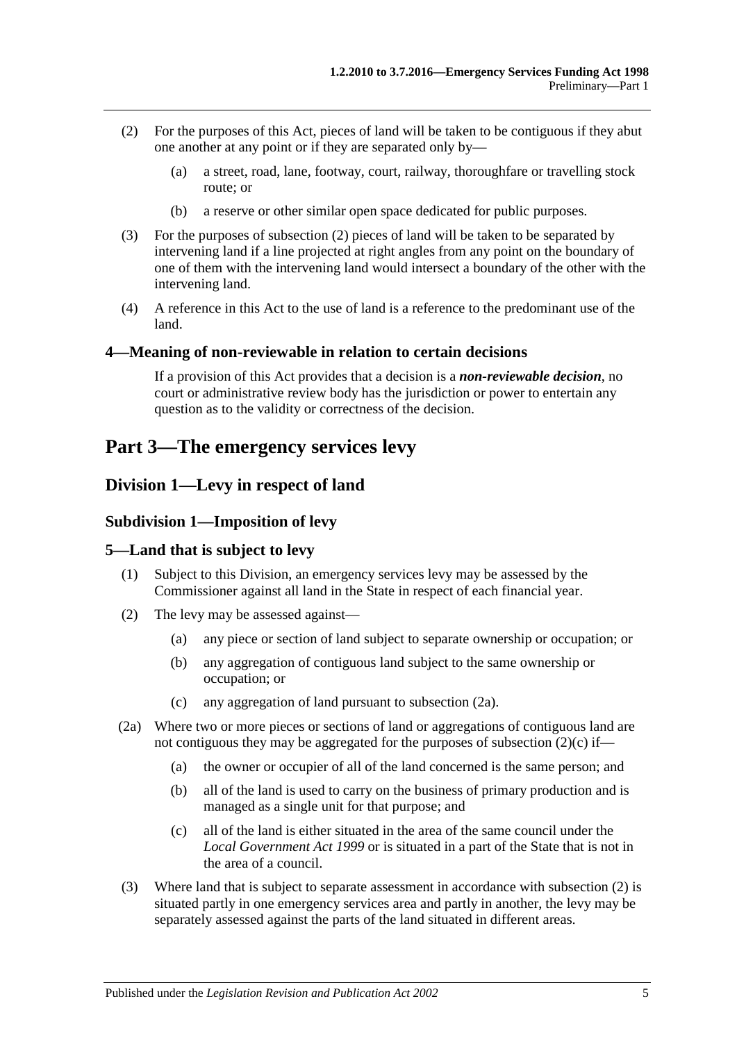- <span id="page-4-5"></span>(2) For the purposes of this Act, pieces of land will be taken to be contiguous if they abut one another at any point or if they are separated only by—
	- (a) a street, road, lane, footway, court, railway, thoroughfare or travelling stock route; or
	- (b) a reserve or other similar open space dedicated for public purposes.
- <span id="page-4-6"></span>(3) For the purposes of [subsection](#page-4-5) (2) pieces of land will be taken to be separated by intervening land if a line projected at right angles from any point on the boundary of one of them with the intervening land would intersect a boundary of the other with the intervening land.
- (4) A reference in this Act to the use of land is a reference to the predominant use of the land.

#### <span id="page-4-0"></span>**4—Meaning of non-reviewable in relation to certain decisions**

If a provision of this Act provides that a decision is a *non-reviewable decision*, no court or administrative review body has the jurisdiction or power to entertain any question as to the validity or correctness of the decision.

## <span id="page-4-1"></span>**Part 3—The emergency services levy**

## <span id="page-4-3"></span><span id="page-4-2"></span>**Division 1—Levy in respect of land**

#### **Subdivision 1—Imposition of levy**

#### <span id="page-4-4"></span>**5—Land that is subject to levy**

- (1) Subject to this Division, an emergency services levy may be assessed by the Commissioner against all land in the State in respect of each financial year.
- <span id="page-4-9"></span>(2) The levy may be assessed against—
	- (a) any piece or section of land subject to separate ownership or occupation; or
	- (b) any aggregation of contiguous land subject to the same ownership or occupation; or
	- (c) any aggregation of land pursuant to [subsection](#page-4-7) (2a).
- <span id="page-4-8"></span><span id="page-4-7"></span>(2a) Where two or more pieces or sections of land or aggregations of contiguous land are not contiguous they may be aggregated for the purposes of [subsection](#page-4-8) (2)(c) if—
	- (a) the owner or occupier of all of the land concerned is the same person; and
	- (b) all of the land is used to carry on the business of primary production and is managed as a single unit for that purpose; and
	- (c) all of the land is either situated in the area of the same council under the *[Local Government Act](http://www.legislation.sa.gov.au/index.aspx?action=legref&type=act&legtitle=Local%20Government%20Act%201999) 1999* or is situated in a part of the State that is not in the area of a council.
- (3) Where land that is subject to separate assessment in accordance with [subsection](#page-4-9) (2) is situated partly in one emergency services area and partly in another, the levy may be separately assessed against the parts of the land situated in different areas.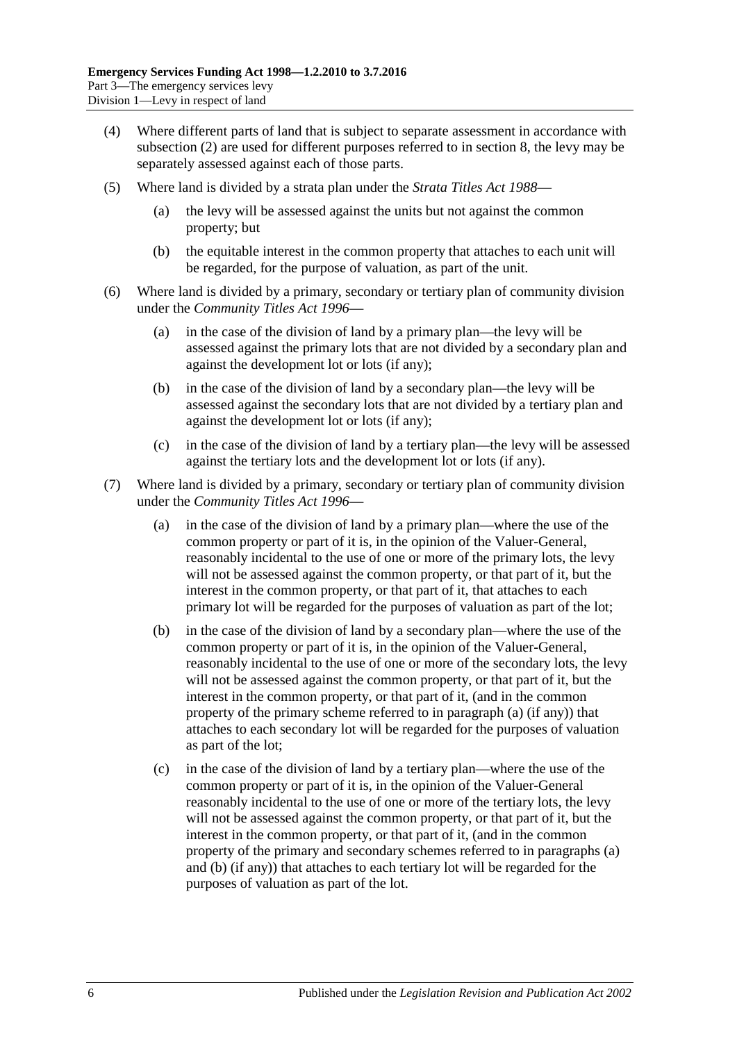- (4) Where different parts of land that is subject to separate assessment in accordance with [subsection](#page-4-9) (2) are used for different purposes referred to in [section](#page-7-1) 8, the levy may be separately assessed against each of those parts.
- (5) Where land is divided by a strata plan under the *[Strata Titles Act](http://www.legislation.sa.gov.au/index.aspx?action=legref&type=act&legtitle=Strata%20Titles%20Act%201988) 1988*
	- (a) the levy will be assessed against the units but not against the common property; but
	- (b) the equitable interest in the common property that attaches to each unit will be regarded, for the purpose of valuation, as part of the unit.
- (6) Where land is divided by a primary, secondary or tertiary plan of community division under the *[Community Titles Act](http://www.legislation.sa.gov.au/index.aspx?action=legref&type=act&legtitle=Community%20Titles%20Act%201996) 1996*—
	- (a) in the case of the division of land by a primary plan—the levy will be assessed against the primary lots that are not divided by a secondary plan and against the development lot or lots (if any);
	- (b) in the case of the division of land by a secondary plan—the levy will be assessed against the secondary lots that are not divided by a tertiary plan and against the development lot or lots (if any);
	- (c) in the case of the division of land by a tertiary plan—the levy will be assessed against the tertiary lots and the development lot or lots (if any).
- <span id="page-5-1"></span><span id="page-5-0"></span>(7) Where land is divided by a primary, secondary or tertiary plan of community division under the *[Community Titles Act](http://www.legislation.sa.gov.au/index.aspx?action=legref&type=act&legtitle=Community%20Titles%20Act%201996) 1996*—
	- (a) in the case of the division of land by a primary plan—where the use of the common property or part of it is, in the opinion of the Valuer-General, reasonably incidental to the use of one or more of the primary lots, the levy will not be assessed against the common property, or that part of it, but the interest in the common property, or that part of it, that attaches to each primary lot will be regarded for the purposes of valuation as part of the lot;
	- (b) in the case of the division of land by a secondary plan—where the use of the common property or part of it is, in the opinion of the Valuer-General, reasonably incidental to the use of one or more of the secondary lots, the levy will not be assessed against the common property, or that part of it, but the interest in the common property, or that part of it, (and in the common property of the primary scheme referred to in [paragraph](#page-5-0) (a) (if any)) that attaches to each secondary lot will be regarded for the purposes of valuation as part of the lot;
	- (c) in the case of the division of land by a tertiary plan—where the use of the common property or part of it is, in the opinion of the Valuer-General reasonably incidental to the use of one or more of the tertiary lots, the levy will not be assessed against the common property, or that part of it, but the interest in the common property, or that part of it, (and in the common property of the primary and secondary schemes referred to in [paragraphs](#page-5-0) (a) and [\(b\)](#page-5-1) (if any)) that attaches to each tertiary lot will be regarded for the purposes of valuation as part of the lot.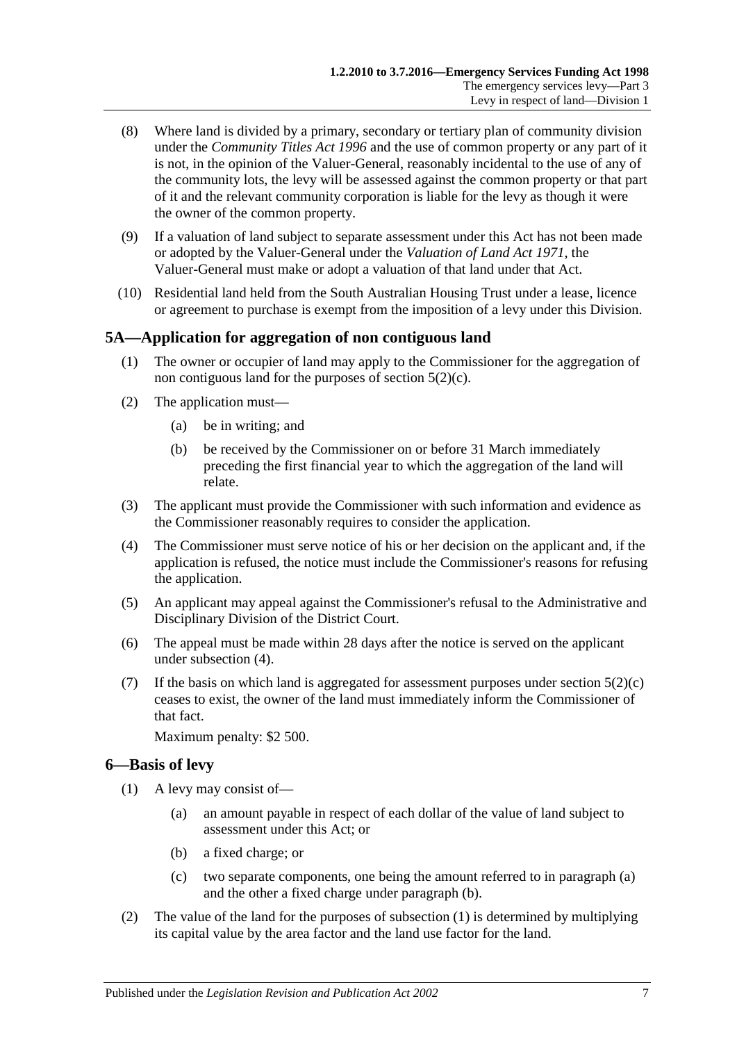- (8) Where land is divided by a primary, secondary or tertiary plan of community division under the *[Community Titles Act](http://www.legislation.sa.gov.au/index.aspx?action=legref&type=act&legtitle=Community%20Titles%20Act%201996) 1996* and the use of common property or any part of it is not, in the opinion of the Valuer-General, reasonably incidental to the use of any of the community lots, the levy will be assessed against the common property or that part of it and the relevant community corporation is liable for the levy as though it were the owner of the common property.
- (9) If a valuation of land subject to separate assessment under this Act has not been made or adopted by the Valuer-General under the *[Valuation of Land Act](http://www.legislation.sa.gov.au/index.aspx?action=legref&type=act&legtitle=Valuation%20of%20Land%20Act%201971) 1971*, the Valuer-General must make or adopt a valuation of that land under that Act.
- (10) Residential land held from the South Australian Housing Trust under a lease, licence or agreement to purchase is exempt from the imposition of a levy under this Division.

## <span id="page-6-0"></span>**5A—Application for aggregation of non contiguous land**

- (1) The owner or occupier of land may apply to the Commissioner for the aggregation of non contiguous land for the purposes of [section](#page-4-8) 5(2)(c).
- (2) The application must—
	- (a) be in writing; and
	- (b) be received by the Commissioner on or before 31 March immediately preceding the first financial year to which the aggregation of the land will relate.
- (3) The applicant must provide the Commissioner with such information and evidence as the Commissioner reasonably requires to consider the application.
- <span id="page-6-2"></span>(4) The Commissioner must serve notice of his or her decision on the applicant and, if the application is refused, the notice must include the Commissioner's reasons for refusing the application.
- (5) An applicant may appeal against the Commissioner's refusal to the Administrative and Disciplinary Division of the District Court.
- (6) The appeal must be made within 28 days after the notice is served on the applicant under [subsection](#page-6-2) (4).
- (7) If the basis on which land is aggregated for assessment purposes under [section](#page-4-8)  $5(2)(c)$ ceases to exist, the owner of the land must immediately inform the Commissioner of that fact.

Maximum penalty: \$2 500.

## <span id="page-6-5"></span><span id="page-6-1"></span>**6—Basis of levy**

- <span id="page-6-4"></span><span id="page-6-3"></span>(1) A levy may consist of—
	- (a) an amount payable in respect of each dollar of the value of land subject to assessment under this Act; or
	- (b) a fixed charge; or
	- (c) two separate components, one being the amount referred to in [paragraph](#page-6-3) (a) and the other a fixed charge under [paragraph](#page-6-4) (b).
- <span id="page-6-6"></span>(2) The value of the land for the purposes of [subsection](#page-6-5) (1) is determined by multiplying its capital value by the area factor and the land use factor for the land.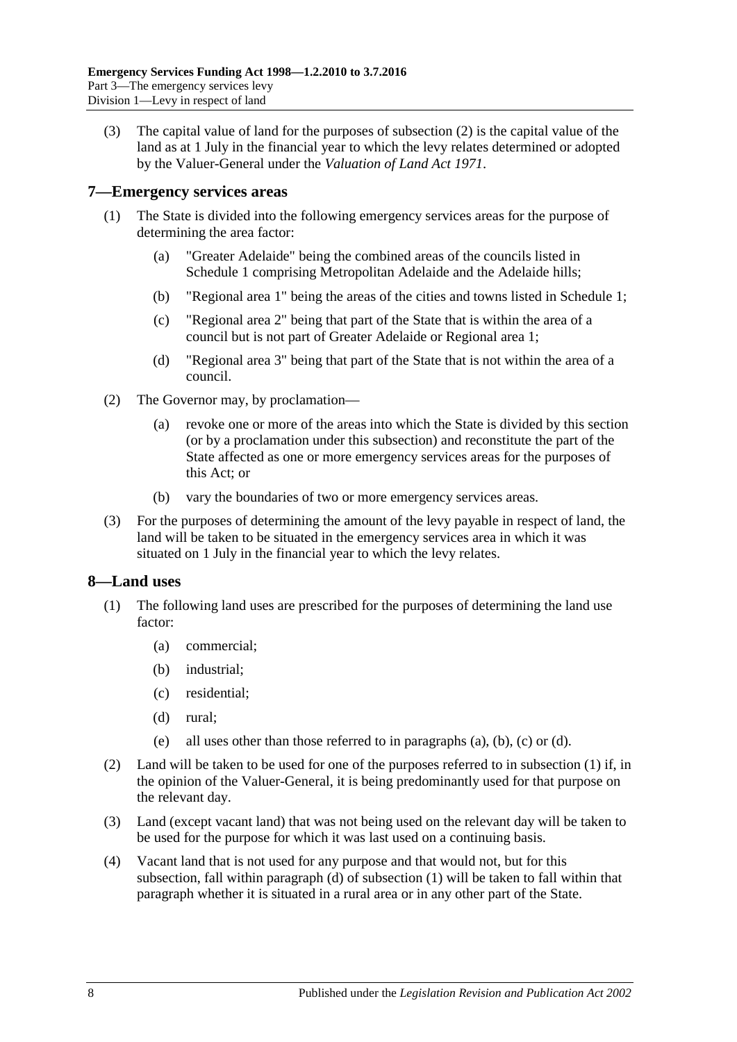(3) The capital value of land for the purposes of [subsection](#page-6-6) (2) is the capital value of the land as at 1 July in the financial year to which the levy relates determined or adopted by the Valuer-General under the *[Valuation of Land Act](http://www.legislation.sa.gov.au/index.aspx?action=legref&type=act&legtitle=Valuation%20of%20Land%20Act%201971) 1971*.

#### <span id="page-7-0"></span>**7—Emergency services areas**

- (1) The State is divided into the following emergency services areas for the purpose of determining the area factor:
	- (a) "Greater Adelaide" being the combined areas of the councils listed in [Schedule 1](#page-29-2) comprising Metropolitan Adelaide and the Adelaide hills;
	- (b) "Regional area 1" being the areas of the cities and towns listed in [Schedule 1;](#page-29-2)
	- (c) "Regional area 2" being that part of the State that is within the area of a council but is not part of Greater Adelaide or Regional area 1;
	- (d) "Regional area 3" being that part of the State that is not within the area of a council.
- (2) The Governor may, by proclamation—
	- (a) revoke one or more of the areas into which the State is divided by this section (or by a proclamation under this subsection) and reconstitute the part of the State affected as one or more emergency services areas for the purposes of this Act; or
	- (b) vary the boundaries of two or more emergency services areas.
- (3) For the purposes of determining the amount of the levy payable in respect of land, the land will be taken to be situated in the emergency services area in which it was situated on 1 July in the financial year to which the levy relates.

## <span id="page-7-2"></span><span id="page-7-1"></span>**8—Land uses**

- <span id="page-7-4"></span><span id="page-7-3"></span>(1) The following land uses are prescribed for the purposes of determining the land use factor:
	- (a) commercial;
	- (b) industrial;
	- (c) residential;
	- (d) rural;
	- (e) all uses other than those referred to in [paragraphs](#page-7-3) (a), [\(b\),](#page-7-4) [\(c\)](#page-7-5) or [\(d\).](#page-7-6)
- <span id="page-7-6"></span><span id="page-7-5"></span>(2) Land will be taken to be used for one of the purposes referred to in [subsection](#page-7-2) (1) if, in the opinion of the Valuer-General, it is being predominantly used for that purpose on the relevant day.
- (3) Land (except vacant land) that was not being used on the relevant day will be taken to be used for the purpose for which it was last used on a continuing basis.
- (4) Vacant land that is not used for any purpose and that would not, but for this subsection, fall within [paragraph](#page-7-6) (d) of [subsection](#page-7-2) (1) will be taken to fall within that paragraph whether it is situated in a rural area or in any other part of the State.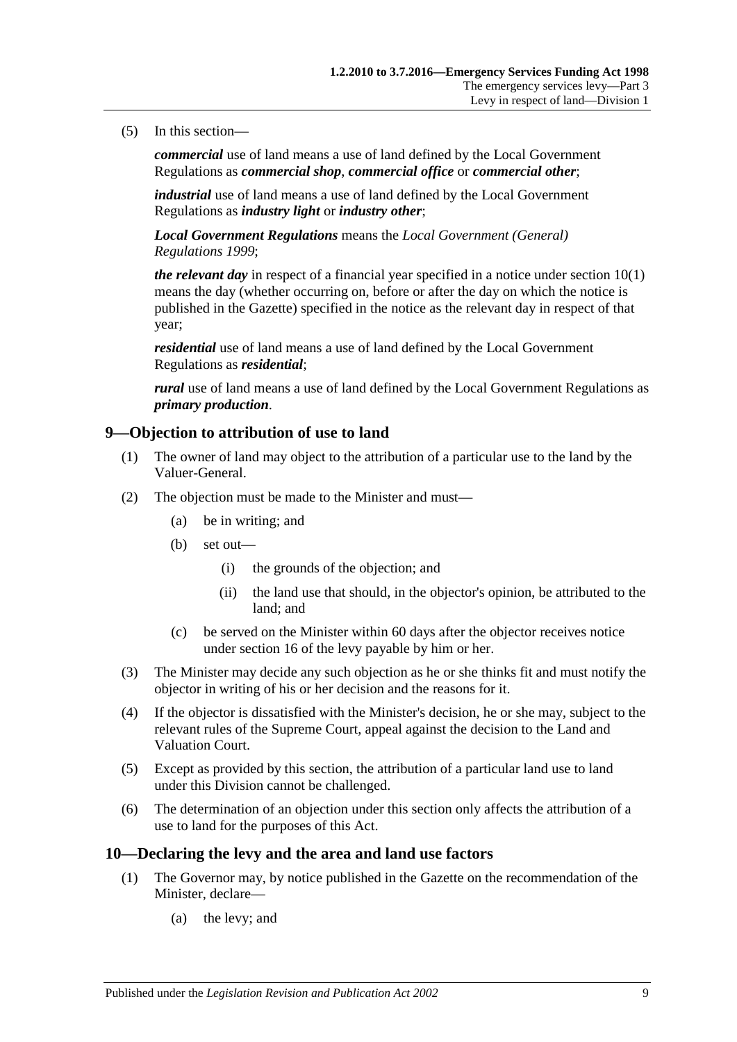#### (5) In this section—

*commercial* use of land means a use of land defined by the Local Government Regulations as *commercial shop*, *commercial office* or *commercial other*;

*industrial* use of land means a use of land defined by the Local Government Regulations as *industry light* or *industry other*;

*Local Government Regulations* means the *[Local Government \(General\)](http://www.legislation.sa.gov.au/index.aspx?action=legref&type=act&legtitle=Local%20Government%20(General)%20Regulations%201999)  [Regulations](http://www.legislation.sa.gov.au/index.aspx?action=legref&type=act&legtitle=Local%20Government%20(General)%20Regulations%201999) 1999*;

*the relevant day* in respect of a financial year specified in a notice unde[r section](#page-8-2) 10(1) means the day (whether occurring on, before or after the day on which the notice is published in the Gazette) specified in the notice as the relevant day in respect of that year;

*residential* use of land means a use of land defined by the Local Government Regulations as *residential*;

*rural* use of land means a use of land defined by the Local Government Regulations as *primary production*.

#### <span id="page-8-0"></span>**9—Objection to attribution of use to land**

- (1) The owner of land may object to the attribution of a particular use to the land by the Valuer-General.
- (2) The objection must be made to the Minister and must—
	- (a) be in writing; and
	- (b) set out—
		- (i) the grounds of the objection; and
		- (ii) the land use that should, in the objector's opinion, be attributed to the land; and
	- (c) be served on the Minister within 60 days after the objector receives notice under [section](#page-12-0) 16 of the levy payable by him or her.
- (3) The Minister may decide any such objection as he or she thinks fit and must notify the objector in writing of his or her decision and the reasons for it.
- (4) If the objector is dissatisfied with the Minister's decision, he or she may, subject to the relevant rules of the Supreme Court, appeal against the decision to the Land and Valuation Court.
- (5) Except as provided by this section, the attribution of a particular land use to land under this Division cannot be challenged.
- (6) The determination of an objection under this section only affects the attribution of a use to land for the purposes of this Act.

#### <span id="page-8-2"></span><span id="page-8-1"></span>**10—Declaring the levy and the area and land use factors**

- (1) The Governor may, by notice published in the Gazette on the recommendation of the Minister, declare—
	- (a) the levy; and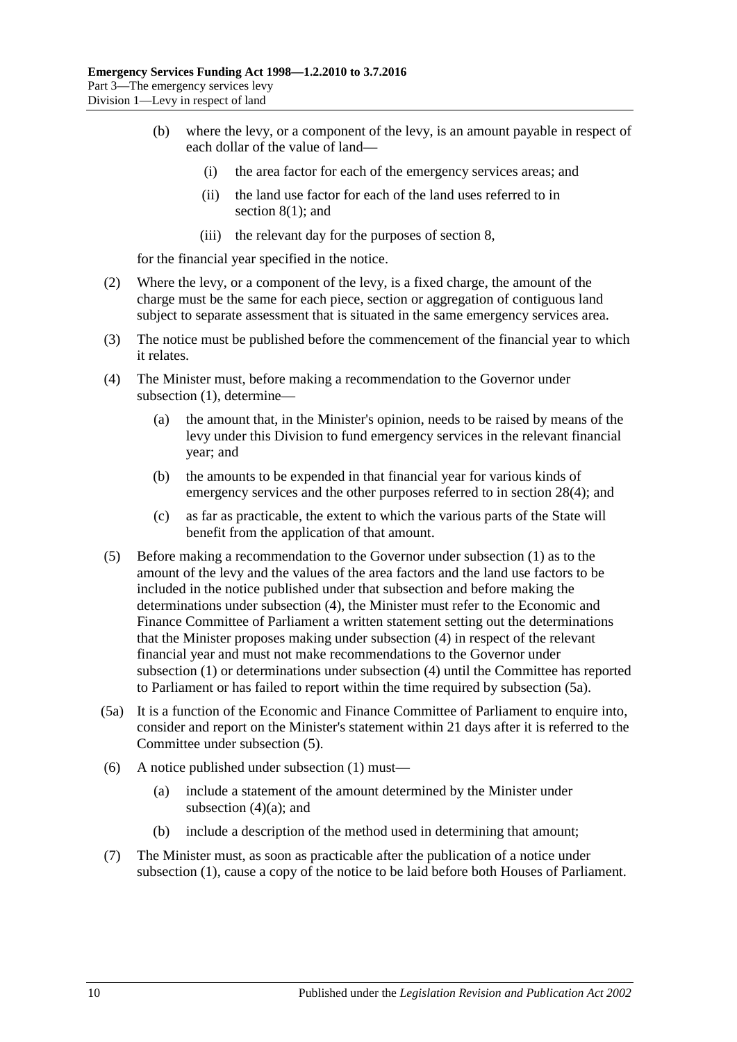- (b) where the levy, or a component of the levy, is an amount payable in respect of each dollar of the value of land—
	- (i) the area factor for each of the emergency services areas; and
	- (ii) the land use factor for each of the land uses referred to in [section](#page-7-2) 8(1); and
	- (iii) the relevant day for the purposes o[f section](#page-7-1) 8,

for the financial year specified in the notice.

- (2) Where the levy, or a component of the levy, is a fixed charge, the amount of the charge must be the same for each piece, section or aggregation of contiguous land subject to separate assessment that is situated in the same emergency services area.
- (3) The notice must be published before the commencement of the financial year to which it relates.
- <span id="page-9-3"></span><span id="page-9-0"></span>(4) The Minister must, before making a recommendation to the Governor under [subsection](#page-8-2) (1), determine—
	- (a) the amount that, in the Minister's opinion, needs to be raised by means of the levy under this Division to fund emergency services in the relevant financial year; and
	- (b) the amounts to be expended in that financial year for various kinds of emergency services and the other purposes referred to in [section](#page-26-3) 28(4); and
	- (c) as far as practicable, the extent to which the various parts of the State will benefit from the application of that amount.
- <span id="page-9-2"></span>(5) Before making a recommendation to the Governor under [subsection](#page-8-2) (1) as to the amount of the levy and the values of the area factors and the land use factors to be included in the notice published under that subsection and before making the determinations under [subsection](#page-9-0) (4), the Minister must refer to the Economic and Finance Committee of Parliament a written statement setting out the determinations that the Minister proposes making under [subsection](#page-9-0) (4) in respect of the relevant financial year and must not make recommendations to the Governor under [subsection](#page-8-2) (1) or determinations under [subsection](#page-9-0) (4) until the Committee has reported to Parliament or has failed to report within the time required by [subsection](#page-9-1) (5a).
- <span id="page-9-1"></span>(5a) It is a function of the Economic and Finance Committee of Parliament to enquire into, consider and report on the Minister's statement within 21 days after it is referred to the Committee under [subsection](#page-9-2) (5).
- (6) A notice published under [subsection](#page-8-2) (1) must—
	- (a) include a statement of the amount determined by the Minister under [subsection](#page-9-3)  $(4)(a)$ ; and
	- (b) include a description of the method used in determining that amount;
- (7) The Minister must, as soon as practicable after the publication of a notice under [subsection](#page-8-2) (1), cause a copy of the notice to be laid before both Houses of Parliament.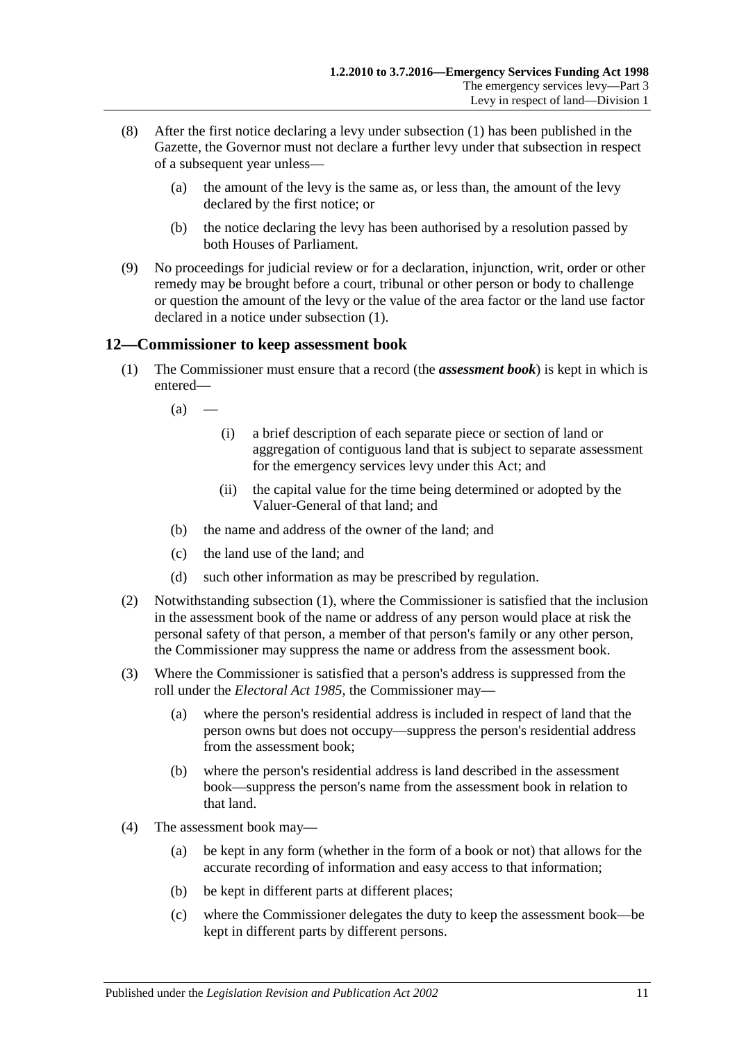- (8) After the first notice declaring a levy under [subsection](#page-8-2) (1) has been published in the Gazette, the Governor must not declare a further levy under that subsection in respect of a subsequent year unless—
	- (a) the amount of the levy is the same as, or less than, the amount of the levy declared by the first notice; or
	- (b) the notice declaring the levy has been authorised by a resolution passed by both Houses of Parliament.
- (9) No proceedings for judicial review or for a declaration, injunction, writ, order or other remedy may be brought before a court, tribunal or other person or body to challenge or question the amount of the levy or the value of the area factor or the land use factor declared in a notice under [subsection](#page-8-2) (1).

## <span id="page-10-1"></span><span id="page-10-0"></span>**12—Commissioner to keep assessment book**

- (1) The Commissioner must ensure that a record (the *assessment book*) is kept in which is entered—
	- $(a)$ 
		- (i) a brief description of each separate piece or section of land or aggregation of contiguous land that is subject to separate assessment for the emergency services levy under this Act; and
		- (ii) the capital value for the time being determined or adopted by the Valuer-General of that land; and
	- (b) the name and address of the owner of the land; and
	- (c) the land use of the land; and
	- (d) such other information as may be prescribed by regulation.
- (2) Notwithstanding [subsection](#page-10-1) (1), where the Commissioner is satisfied that the inclusion in the assessment book of the name or address of any person would place at risk the personal safety of that person, a member of that person's family or any other person, the Commissioner may suppress the name or address from the assessment book.
- (3) Where the Commissioner is satisfied that a person's address is suppressed from the roll under the *[Electoral Act](http://www.legislation.sa.gov.au/index.aspx?action=legref&type=act&legtitle=Electoral%20Act%201985) 1985*, the Commissioner may—
	- (a) where the person's residential address is included in respect of land that the person owns but does not occupy—suppress the person's residential address from the assessment book;
	- (b) where the person's residential address is land described in the assessment book—suppress the person's name from the assessment book in relation to that land.
- (4) The assessment book may—
	- (a) be kept in any form (whether in the form of a book or not) that allows for the accurate recording of information and easy access to that information;
	- (b) be kept in different parts at different places;
	- (c) where the Commissioner delegates the duty to keep the assessment book—be kept in different parts by different persons.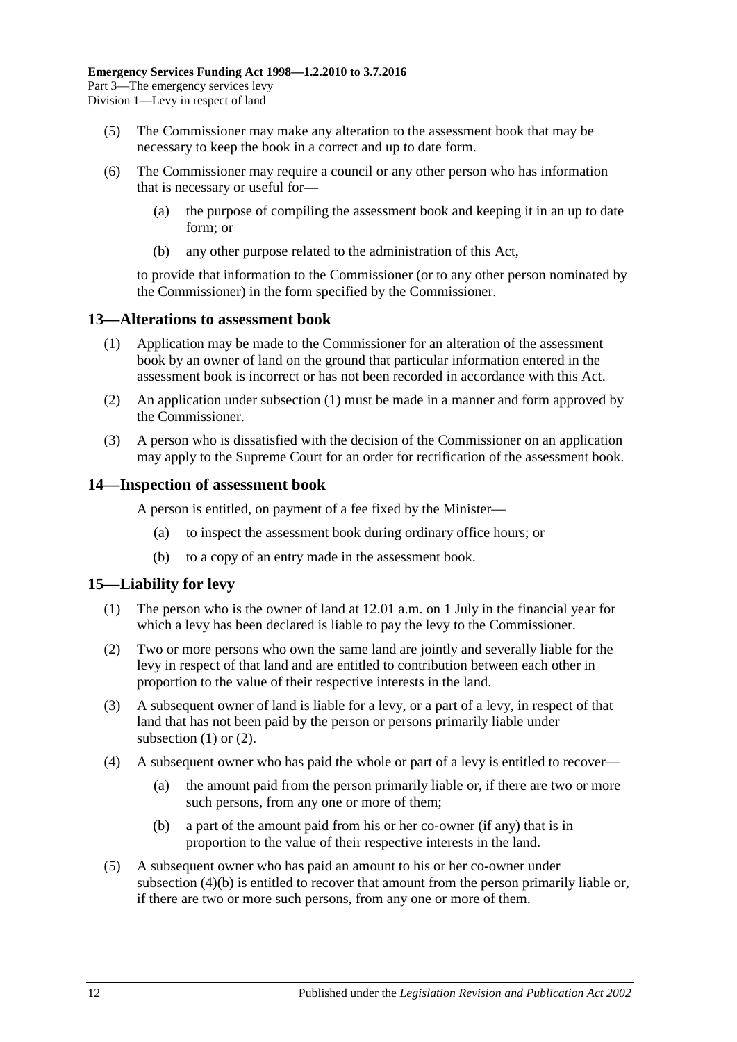- (5) The Commissioner may make any alteration to the assessment book that may be necessary to keep the book in a correct and up to date form.
- (6) The Commissioner may require a council or any other person who has information that is necessary or useful for—
	- (a) the purpose of compiling the assessment book and keeping it in an up to date form; or
	- (b) any other purpose related to the administration of this Act,

to provide that information to the Commissioner (or to any other person nominated by the Commissioner) in the form specified by the Commissioner.

#### <span id="page-11-3"></span><span id="page-11-0"></span>**13—Alterations to assessment book**

- (1) Application may be made to the Commissioner for an alteration of the assessment book by an owner of land on the ground that particular information entered in the assessment book is incorrect or has not been recorded in accordance with this Act.
- (2) An application under [subsection](#page-11-3) (1) must be made in a manner and form approved by the Commissioner.
- (3) A person who is dissatisfied with the decision of the Commissioner on an application may apply to the Supreme Court for an order for rectification of the assessment book.

#### <span id="page-11-1"></span>**14—Inspection of assessment book**

A person is entitled, on payment of a fee fixed by the Minister—

- (a) to inspect the assessment book during ordinary office hours; or
- (b) to a copy of an entry made in the assessment book.

## <span id="page-11-4"></span><span id="page-11-2"></span>**15—Liability for levy**

- (1) The person who is the owner of land at 12.01 a.m. on 1 July in the financial year for which a levy has been declared is liable to pay the levy to the Commissioner.
- <span id="page-11-5"></span>(2) Two or more persons who own the same land are jointly and severally liable for the levy in respect of that land and are entitled to contribution between each other in proportion to the value of their respective interests in the land.
- (3) A subsequent owner of land is liable for a levy, or a part of a levy, in respect of that land that has not been paid by the person or persons primarily liable under [subsection](#page-11-4)  $(1)$  or  $(2)$ .
- (4) A subsequent owner who has paid the whole or part of a levy is entitled to recover—
	- (a) the amount paid from the person primarily liable or, if there are two or more such persons, from any one or more of them;
	- (b) a part of the amount paid from his or her co-owner (if any) that is in proportion to the value of their respective interests in the land.
- <span id="page-11-6"></span>(5) A subsequent owner who has paid an amount to his or her co-owner under [subsection](#page-11-6) (4)(b) is entitled to recover that amount from the person primarily liable or, if there are two or more such persons, from any one or more of them.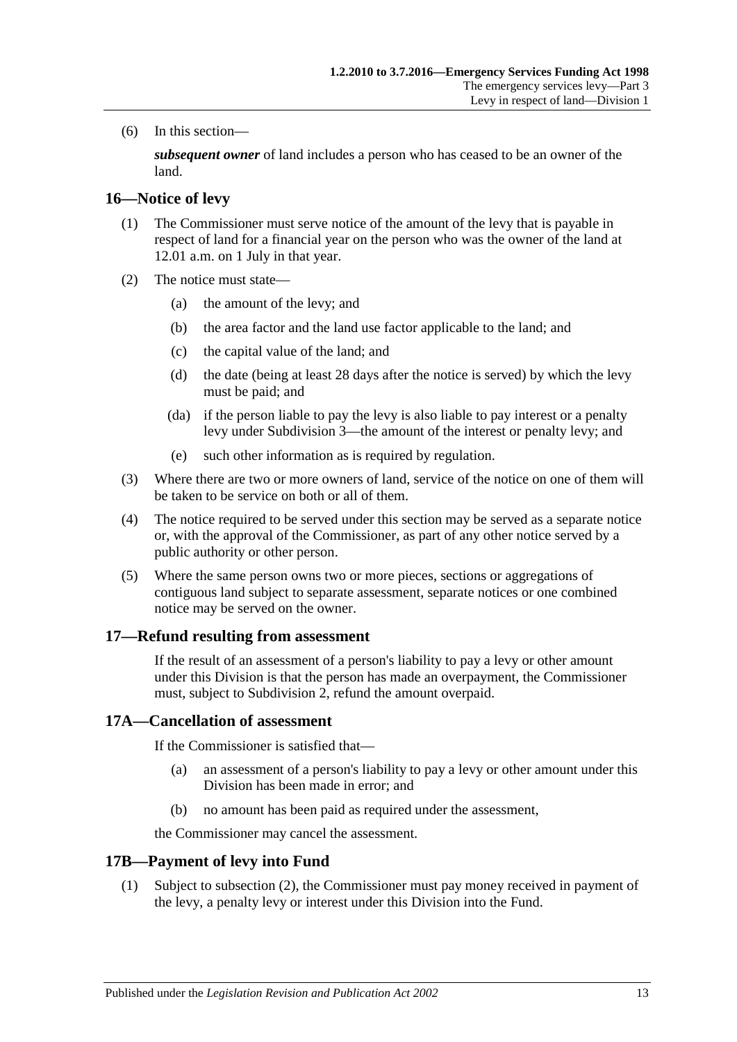(6) In this section—

*subsequent owner* of land includes a person who has ceased to be an owner of the land.

#### <span id="page-12-0"></span>**16—Notice of levy**

- (1) The Commissioner must serve notice of the amount of the levy that is payable in respect of land for a financial year on the person who was the owner of the land at 12.01 a.m. on 1 July in that year.
- (2) The notice must state—
	- (a) the amount of the levy; and
	- (b) the area factor and the land use factor applicable to the land; and
	- (c) the capital value of the land; and
	- (d) the date (being at least 28 days after the notice is served) by which the levy must be paid; and
	- (da) if the person liable to pay the levy is also liable to pay interest or a penalty levy under [Subdivision 3—](#page-14-1)the amount of the interest or penalty levy; and
	- (e) such other information as is required by regulation.
- (3) Where there are two or more owners of land, service of the notice on one of them will be taken to be service on both or all of them.
- (4) The notice required to be served under this section may be served as a separate notice or, with the approval of the Commissioner, as part of any other notice served by a public authority or other person.
- (5) Where the same person owns two or more pieces, sections or aggregations of contiguous land subject to separate assessment, separate notices or one combined notice may be served on the owner.

#### <span id="page-12-1"></span>**17—Refund resulting from assessment**

If the result of an assessment of a person's liability to pay a levy or other amount under this Division is that the person has made an overpayment, the Commissioner must, subject to [Subdivision 2,](#page-13-0) refund the amount overpaid.

#### <span id="page-12-2"></span>**17A—Cancellation of assessment**

If the Commissioner is satisfied that—

- (a) an assessment of a person's liability to pay a levy or other amount under this Division has been made in error; and
- (b) no amount has been paid as required under the assessment,

the Commissioner may cancel the assessment.

## <span id="page-12-3"></span>**17B—Payment of levy into Fund**

(1) Subject to [subsection](#page-13-5) (2), the Commissioner must pay money received in payment of the levy, a penalty levy or interest under this Division into the Fund.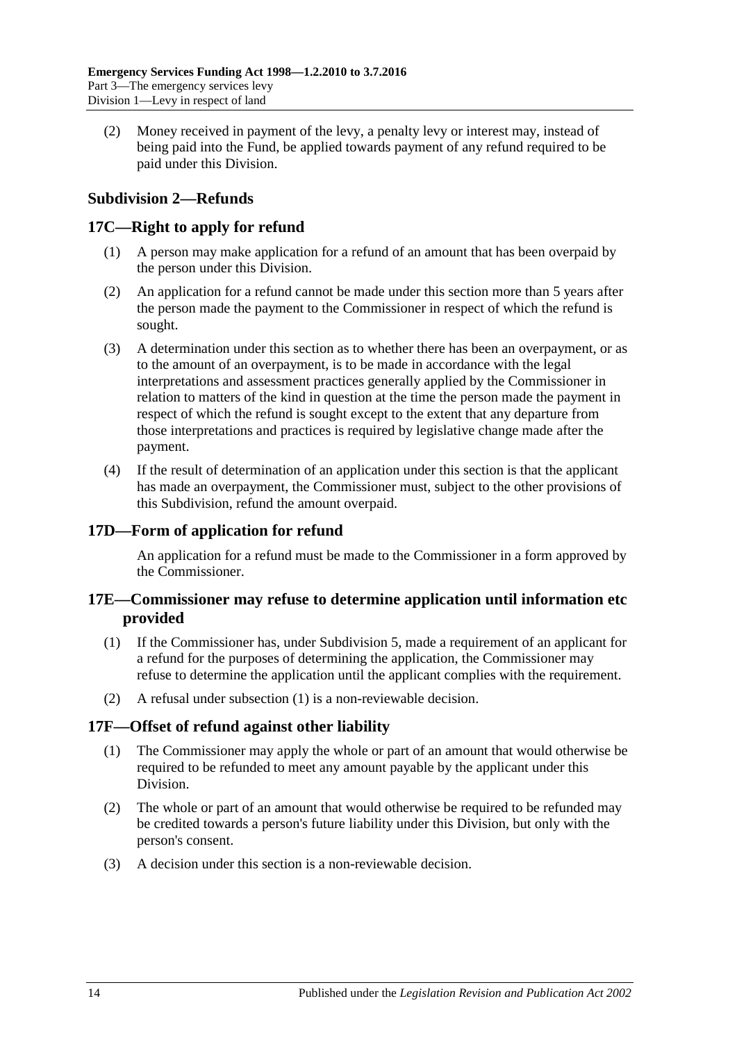<span id="page-13-5"></span>(2) Money received in payment of the levy, a penalty levy or interest may, instead of being paid into the Fund, be applied towards payment of any refund required to be paid under this Division.

## <span id="page-13-0"></span>**Subdivision 2—Refunds**

## <span id="page-13-1"></span>**17C—Right to apply for refund**

- (1) A person may make application for a refund of an amount that has been overpaid by the person under this Division.
- (2) An application for a refund cannot be made under this section more than 5 years after the person made the payment to the Commissioner in respect of which the refund is sought.
- (3) A determination under this section as to whether there has been an overpayment, or as to the amount of an overpayment, is to be made in accordance with the legal interpretations and assessment practices generally applied by the Commissioner in relation to matters of the kind in question at the time the person made the payment in respect of which the refund is sought except to the extent that any departure from those interpretations and practices is required by legislative change made after the payment.
- (4) If the result of determination of an application under this section is that the applicant has made an overpayment, the Commissioner must, subject to the other provisions of this Subdivision, refund the amount overpaid.

## <span id="page-13-2"></span>**17D—Form of application for refund**

An application for a refund must be made to the Commissioner in a form approved by the Commissioner.

## <span id="page-13-3"></span>**17E—Commissioner may refuse to determine application until information etc provided**

- <span id="page-13-6"></span>(1) If the Commissioner has, under [Subdivision 5,](#page-20-3) made a requirement of an applicant for a refund for the purposes of determining the application, the Commissioner may refuse to determine the application until the applicant complies with the requirement.
- (2) A refusal under [subsection](#page-13-6) (1) is a non-reviewable decision.

## <span id="page-13-4"></span>**17F—Offset of refund against other liability**

- (1) The Commissioner may apply the whole or part of an amount that would otherwise be required to be refunded to meet any amount payable by the applicant under this Division.
- (2) The whole or part of an amount that would otherwise be required to be refunded may be credited towards a person's future liability under this Division, but only with the person's consent.
- (3) A decision under this section is a non-reviewable decision.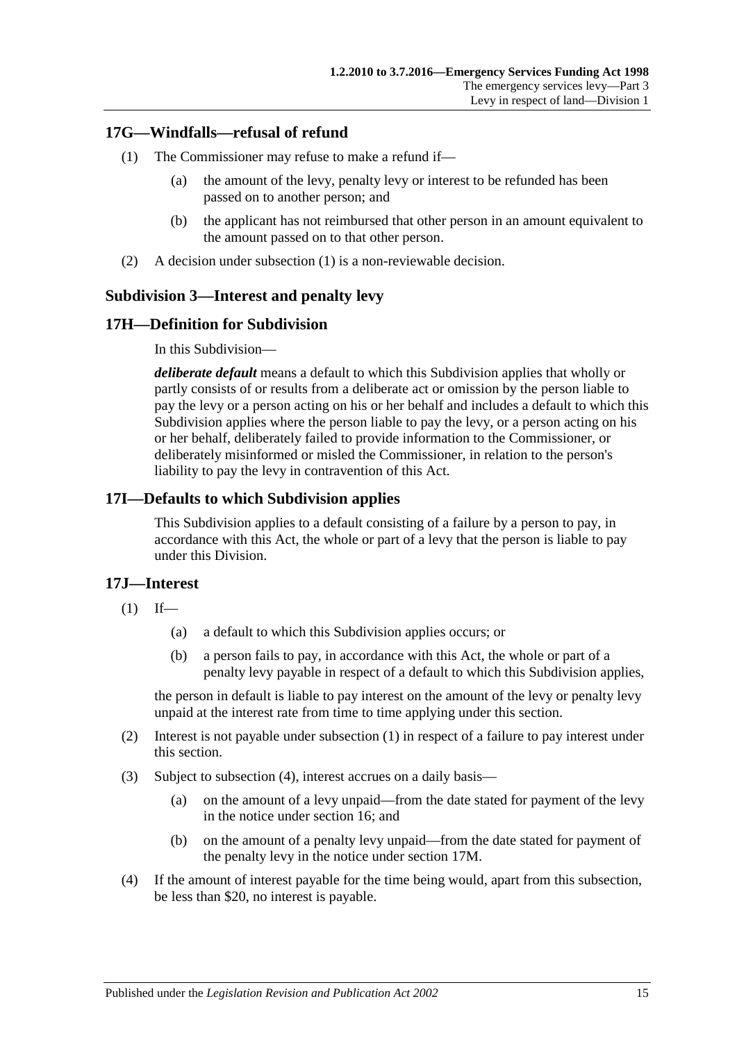## <span id="page-14-5"></span><span id="page-14-0"></span>**17G—Windfalls—refusal of refund**

- (1) The Commissioner may refuse to make a refund if—
	- (a) the amount of the levy, penalty levy or interest to be refunded has been passed on to another person; and
	- (b) the applicant has not reimbursed that other person in an amount equivalent to the amount passed on to that other person.
- (2) A decision under [subsection](#page-14-5) (1) is a non-reviewable decision.

## <span id="page-14-1"></span>**Subdivision 3—Interest and penalty levy**

## <span id="page-14-2"></span>**17H—Definition for Subdivision**

In this Subdivision—

*deliberate default* means a default to which this Subdivision applies that wholly or partly consists of or results from a deliberate act or omission by the person liable to pay the levy or a person acting on his or her behalf and includes a default to which this Subdivision applies where the person liable to pay the levy, or a person acting on his or her behalf, deliberately failed to provide information to the Commissioner, or deliberately misinformed or misled the Commissioner, in relation to the person's liability to pay the levy in contravention of this Act.

## <span id="page-14-3"></span>**17I—Defaults to which Subdivision applies**

This Subdivision applies to a default consisting of a failure by a person to pay, in accordance with this Act, the whole or part of a levy that the person is liable to pay under this Division.

## <span id="page-14-6"></span><span id="page-14-4"></span>**17J—Interest**

- $(1)$  If—
	- (a) a default to which this Subdivision applies occurs; or
	- (b) a person fails to pay, in accordance with this Act, the whole or part of a penalty levy payable in respect of a default to which this Subdivision applies,

the person in default is liable to pay interest on the amount of the levy or penalty levy unpaid at the interest rate from time to time applying under this section.

- (2) Interest is not payable under [subsection](#page-14-6) (1) in respect of a failure to pay interest under this section.
- (3) Subject to [subsection](#page-14-7) (4), interest accrues on a daily basis—
	- (a) on the amount of a levy unpaid—from the date stated for payment of the levy in the notice under [section](#page-12-0) 16; and
	- (b) on the amount of a penalty levy unpaid—from the date stated for payment of the penalty levy in the notice under [section](#page-15-2) 17M.
- <span id="page-14-7"></span>(4) If the amount of interest payable for the time being would, apart from this subsection, be less than \$20, no interest is payable.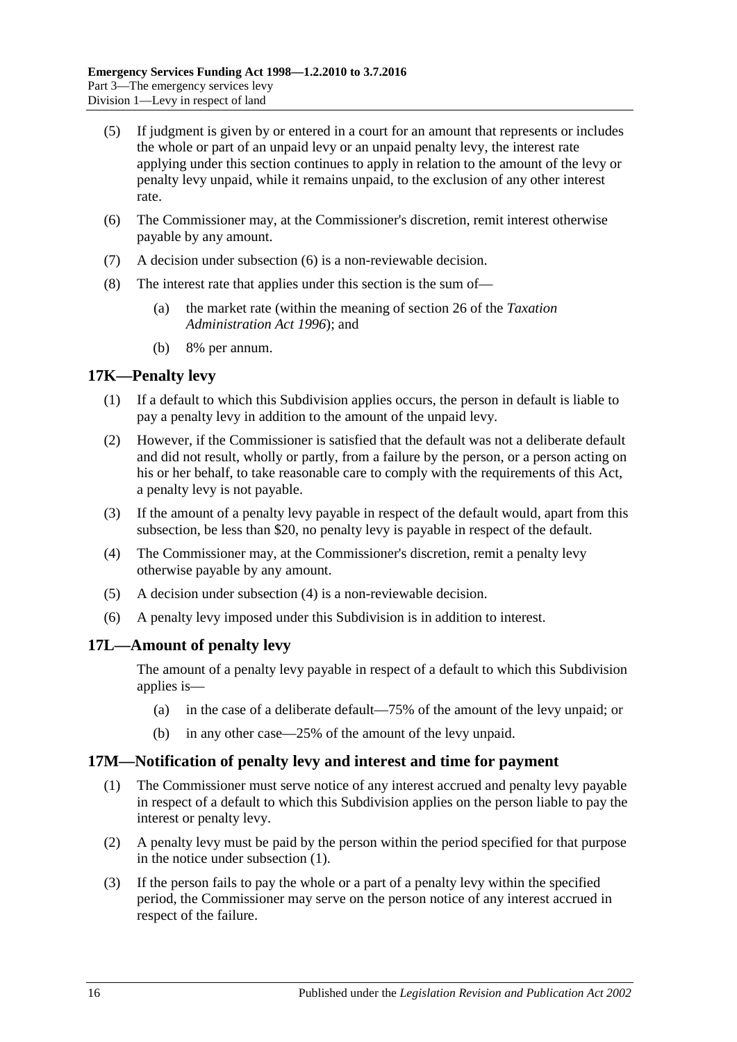- (5) If judgment is given by or entered in a court for an amount that represents or includes the whole or part of an unpaid levy or an unpaid penalty levy, the interest rate applying under this section continues to apply in relation to the amount of the levy or penalty levy unpaid, while it remains unpaid, to the exclusion of any other interest rate.
- <span id="page-15-3"></span>(6) The Commissioner may, at the Commissioner's discretion, remit interest otherwise payable by any amount.
- (7) A decision under [subsection](#page-15-3) (6) is a non-reviewable decision.
- (8) The interest rate that applies under this section is the sum of—
	- (a) the market rate (within the meaning of section 26 of the *[Taxation](http://www.legislation.sa.gov.au/index.aspx?action=legref&type=act&legtitle=Taxation%20Administration%20Act%201996)  [Administration Act](http://www.legislation.sa.gov.au/index.aspx?action=legref&type=act&legtitle=Taxation%20Administration%20Act%201996) 1996*); and
	- (b) 8% per annum.

#### <span id="page-15-0"></span>**17K—Penalty levy**

- (1) If a default to which this Subdivision applies occurs, the person in default is liable to pay a penalty levy in addition to the amount of the unpaid levy.
- (2) However, if the Commissioner is satisfied that the default was not a deliberate default and did not result, wholly or partly, from a failure by the person, or a person acting on his or her behalf, to take reasonable care to comply with the requirements of this Act, a penalty levy is not payable.
- (3) If the amount of a penalty levy payable in respect of the default would, apart from this subsection, be less than \$20, no penalty levy is payable in respect of the default.
- <span id="page-15-4"></span>(4) The Commissioner may, at the Commissioner's discretion, remit a penalty levy otherwise payable by any amount.
- (5) A decision under [subsection](#page-15-4) (4) is a non-reviewable decision.
- (6) A penalty levy imposed under this Subdivision is in addition to interest.

## <span id="page-15-1"></span>**17L—Amount of penalty levy**

The amount of a penalty levy payable in respect of a default to which this Subdivision applies is—

- (a) in the case of a deliberate default—75% of the amount of the levy unpaid; or
- (b) in any other case—25% of the amount of the levy unpaid.

#### <span id="page-15-5"></span><span id="page-15-2"></span>**17M—Notification of penalty levy and interest and time for payment**

- (1) The Commissioner must serve notice of any interest accrued and penalty levy payable in respect of a default to which this Subdivision applies on the person liable to pay the interest or penalty levy.
- (2) A penalty levy must be paid by the person within the period specified for that purpose in the notice under [subsection](#page-15-5) (1).
- (3) If the person fails to pay the whole or a part of a penalty levy within the specified period, the Commissioner may serve on the person notice of any interest accrued in respect of the failure.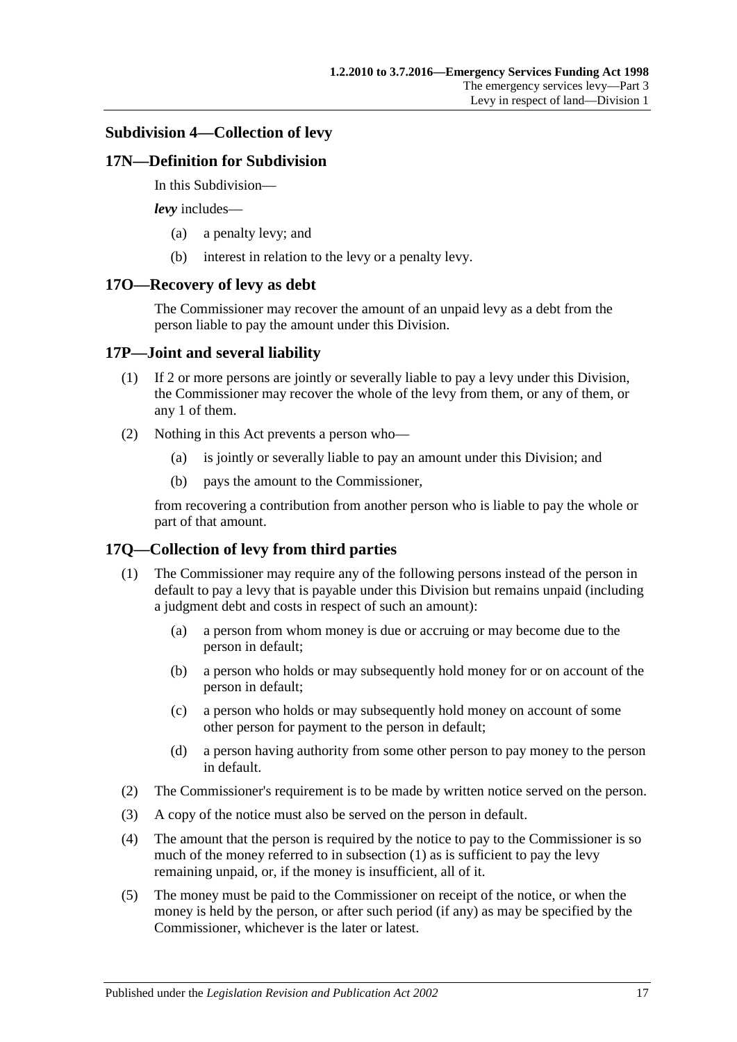#### <span id="page-16-0"></span>**Subdivision 4—Collection of levy**

#### <span id="page-16-1"></span>**17N—Definition for Subdivision**

In this Subdivision—

*levy* includes—

- (a) a penalty levy; and
- (b) interest in relation to the levy or a penalty levy.

#### <span id="page-16-2"></span>**17O—Recovery of levy as debt**

The Commissioner may recover the amount of an unpaid levy as a debt from the person liable to pay the amount under this Division.

## <span id="page-16-3"></span>**17P—Joint and several liability**

- (1) If 2 or more persons are jointly or severally liable to pay a levy under this Division, the Commissioner may recover the whole of the levy from them, or any of them, or any 1 of them.
- (2) Nothing in this Act prevents a person who—
	- (a) is jointly or severally liable to pay an amount under this Division; and
	- (b) pays the amount to the Commissioner,

from recovering a contribution from another person who is liable to pay the whole or part of that amount.

## <span id="page-16-5"></span><span id="page-16-4"></span>**17Q—Collection of levy from third parties**

- (1) The Commissioner may require any of the following persons instead of the person in default to pay a levy that is payable under this Division but remains unpaid (including a judgment debt and costs in respect of such an amount):
	- (a) a person from whom money is due or accruing or may become due to the person in default;
	- (b) a person who holds or may subsequently hold money for or on account of the person in default;
	- (c) a person who holds or may subsequently hold money on account of some other person for payment to the person in default;
	- (d) a person having authority from some other person to pay money to the person in default.
- (2) The Commissioner's requirement is to be made by written notice served on the person.
- (3) A copy of the notice must also be served on the person in default.
- (4) The amount that the person is required by the notice to pay to the Commissioner is so much of the money referred to in [subsection](#page-16-5) (1) as is sufficient to pay the levy remaining unpaid, or, if the money is insufficient, all of it.
- (5) The money must be paid to the Commissioner on receipt of the notice, or when the money is held by the person, or after such period (if any) as may be specified by the Commissioner, whichever is the later or latest.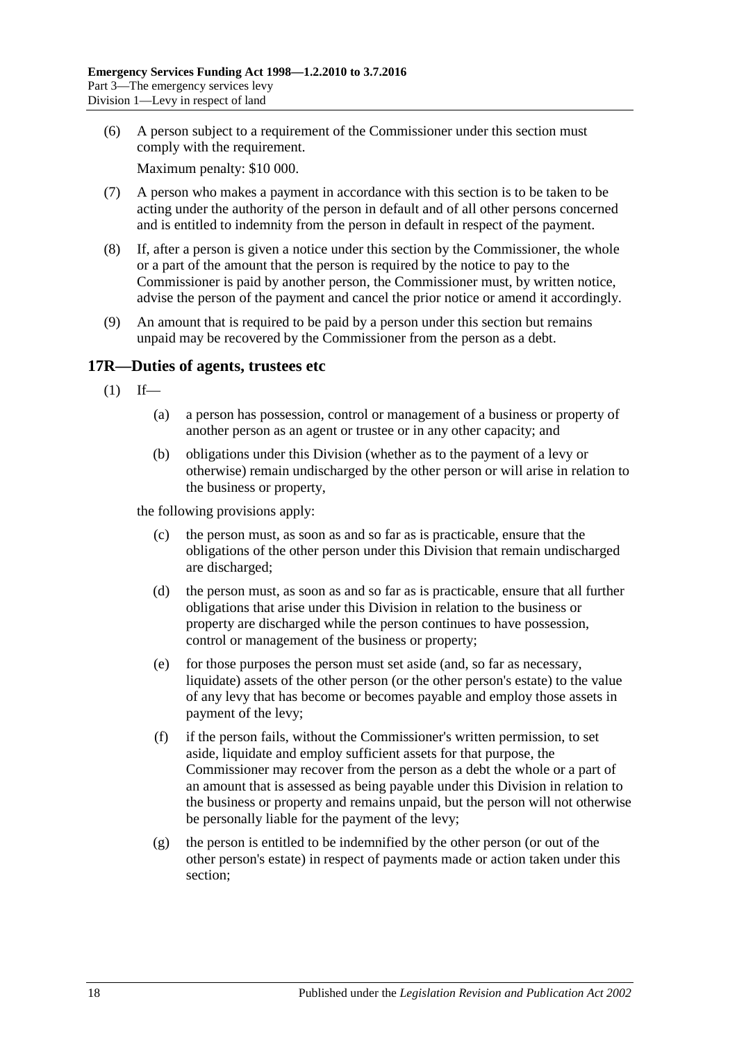(6) A person subject to a requirement of the Commissioner under this section must comply with the requirement.

Maximum penalty: \$10 000.

- (7) A person who makes a payment in accordance with this section is to be taken to be acting under the authority of the person in default and of all other persons concerned and is entitled to indemnity from the person in default in respect of the payment.
- (8) If, after a person is given a notice under this section by the Commissioner, the whole or a part of the amount that the person is required by the notice to pay to the Commissioner is paid by another person, the Commissioner must, by written notice, advise the person of the payment and cancel the prior notice or amend it accordingly.
- (9) An amount that is required to be paid by a person under this section but remains unpaid may be recovered by the Commissioner from the person as a debt.

## <span id="page-17-1"></span><span id="page-17-0"></span>**17R—Duties of agents, trustees etc**

- $(1)$  If—
	- (a) a person has possession, control or management of a business or property of another person as an agent or trustee or in any other capacity; and
	- (b) obligations under this Division (whether as to the payment of a levy or otherwise) remain undischarged by the other person or will arise in relation to the business or property,

the following provisions apply:

- (c) the person must, as soon as and so far as is practicable, ensure that the obligations of the other person under this Division that remain undischarged are discharged;
- (d) the person must, as soon as and so far as is practicable, ensure that all further obligations that arise under this Division in relation to the business or property are discharged while the person continues to have possession, control or management of the business or property;
- (e) for those purposes the person must set aside (and, so far as necessary, liquidate) assets of the other person (or the other person's estate) to the value of any levy that has become or becomes payable and employ those assets in payment of the levy;
- (f) if the person fails, without the Commissioner's written permission, to set aside, liquidate and employ sufficient assets for that purpose, the Commissioner may recover from the person as a debt the whole or a part of an amount that is assessed as being payable under this Division in relation to the business or property and remains unpaid, but the person will not otherwise be personally liable for the payment of the levy;
- (g) the person is entitled to be indemnified by the other person (or out of the other person's estate) in respect of payments made or action taken under this section;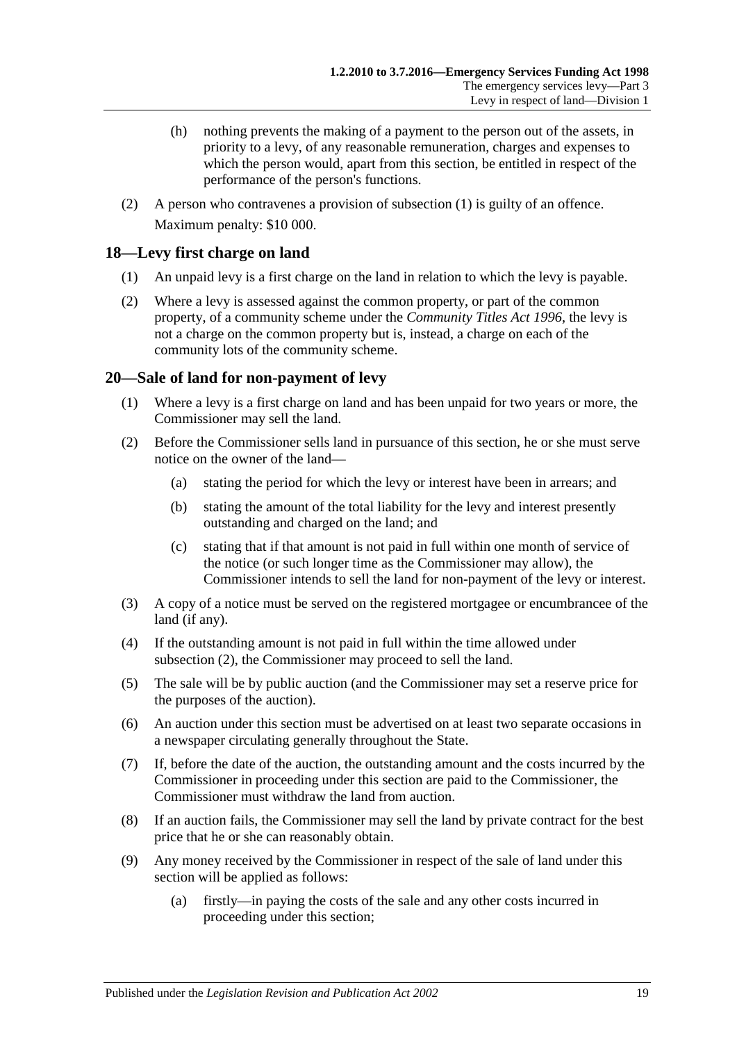- (h) nothing prevents the making of a payment to the person out of the assets, in priority to a levy, of any reasonable remuneration, charges and expenses to which the person would, apart from this section, be entitled in respect of the performance of the person's functions.
- (2) A person who contravenes a provision of [subsection](#page-17-1) (1) is guilty of an offence. Maximum penalty: \$10 000.

## <span id="page-18-0"></span>**18—Levy first charge on land**

- (1) An unpaid levy is a first charge on the land in relation to which the levy is payable.
- (2) Where a levy is assessed against the common property, or part of the common property, of a community scheme under the *[Community Titles Act](http://www.legislation.sa.gov.au/index.aspx?action=legref&type=act&legtitle=Community%20Titles%20Act%201996) 1996*, the levy is not a charge on the common property but is, instead, a charge on each of the community lots of the community scheme.

## <span id="page-18-1"></span>**20—Sale of land for non-payment of levy**

- (1) Where a levy is a first charge on land and has been unpaid for two years or more, the Commissioner may sell the land.
- <span id="page-18-2"></span>(2) Before the Commissioner sells land in pursuance of this section, he or she must serve notice on the owner of the land—
	- (a) stating the period for which the levy or interest have been in arrears; and
	- (b) stating the amount of the total liability for the levy and interest presently outstanding and charged on the land; and
	- (c) stating that if that amount is not paid in full within one month of service of the notice (or such longer time as the Commissioner may allow), the Commissioner intends to sell the land for non-payment of the levy or interest.
- (3) A copy of a notice must be served on the registered mortgagee or encumbrancee of the land (if any).
- (4) If the outstanding amount is not paid in full within the time allowed under [subsection](#page-18-2) (2), the Commissioner may proceed to sell the land.
- (5) The sale will be by public auction (and the Commissioner may set a reserve price for the purposes of the auction).
- (6) An auction under this section must be advertised on at least two separate occasions in a newspaper circulating generally throughout the State.
- (7) If, before the date of the auction, the outstanding amount and the costs incurred by the Commissioner in proceeding under this section are paid to the Commissioner, the Commissioner must withdraw the land from auction.
- (8) If an auction fails, the Commissioner may sell the land by private contract for the best price that he or she can reasonably obtain.
- (9) Any money received by the Commissioner in respect of the sale of land under this section will be applied as follows:
	- (a) firstly—in paying the costs of the sale and any other costs incurred in proceeding under this section;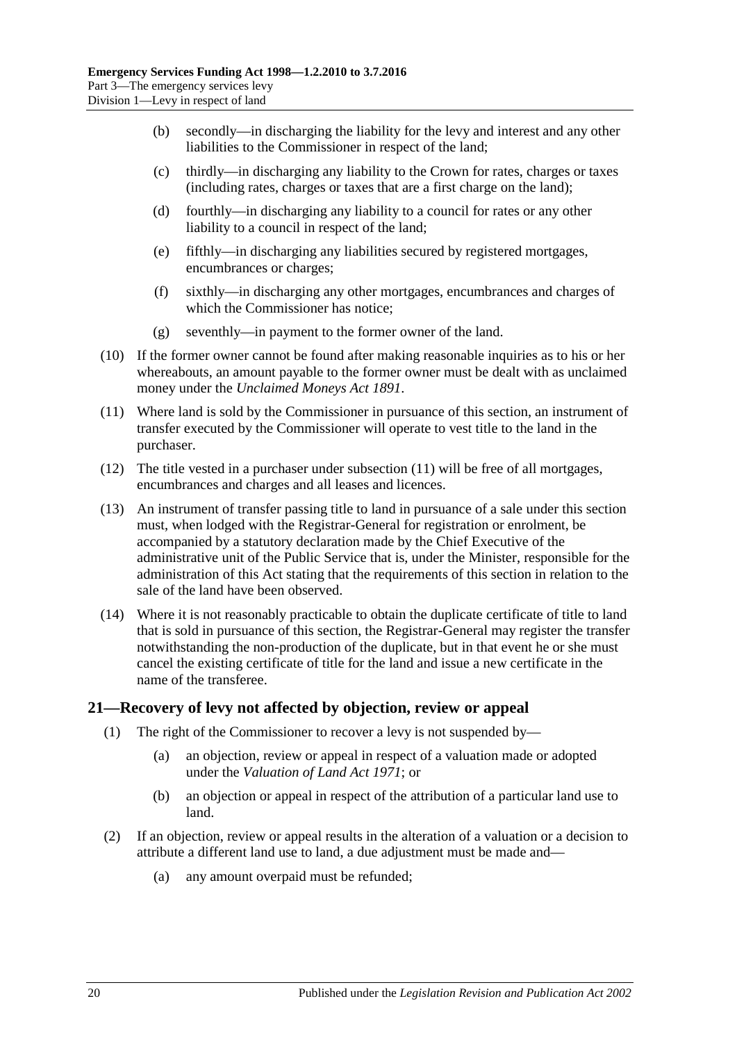- (b) secondly—in discharging the liability for the levy and interest and any other liabilities to the Commissioner in respect of the land;
- (c) thirdly—in discharging any liability to the Crown for rates, charges or taxes (including rates, charges or taxes that are a first charge on the land);
- (d) fourthly—in discharging any liability to a council for rates or any other liability to a council in respect of the land;
- (e) fifthly—in discharging any liabilities secured by registered mortgages, encumbrances or charges;
- (f) sixthly—in discharging any other mortgages, encumbrances and charges of which the Commissioner has notice;
- (g) seventhly—in payment to the former owner of the land.
- (10) If the former owner cannot be found after making reasonable inquiries as to his or her whereabouts, an amount payable to the former owner must be dealt with as unclaimed money under the *[Unclaimed Moneys Act](http://www.legislation.sa.gov.au/index.aspx?action=legref&type=act&legtitle=Unclaimed%20Moneys%20Act%201891) 1891*.
- <span id="page-19-1"></span>(11) Where land is sold by the Commissioner in pursuance of this section, an instrument of transfer executed by the Commissioner will operate to vest title to the land in the purchaser.
- (12) The title vested in a purchaser under [subsection](#page-19-1) (11) will be free of all mortgages, encumbrances and charges and all leases and licences.
- (13) An instrument of transfer passing title to land in pursuance of a sale under this section must, when lodged with the Registrar-General for registration or enrolment, be accompanied by a statutory declaration made by the Chief Executive of the administrative unit of the Public Service that is, under the Minister, responsible for the administration of this Act stating that the requirements of this section in relation to the sale of the land have been observed.
- (14) Where it is not reasonably practicable to obtain the duplicate certificate of title to land that is sold in pursuance of this section, the Registrar-General may register the transfer notwithstanding the non-production of the duplicate, but in that event he or she must cancel the existing certificate of title for the land and issue a new certificate in the name of the transferee.

#### <span id="page-19-0"></span>**21—Recovery of levy not affected by objection, review or appeal**

- (1) The right of the Commissioner to recover a levy is not suspended by—
	- (a) an objection, review or appeal in respect of a valuation made or adopted under the *[Valuation of Land Act](http://www.legislation.sa.gov.au/index.aspx?action=legref&type=act&legtitle=Valuation%20of%20Land%20Act%201971) 1971*; or
	- (b) an objection or appeal in respect of the attribution of a particular land use to land.
- <span id="page-19-2"></span>(2) If an objection, review or appeal results in the alteration of a valuation or a decision to attribute a different land use to land, a due adjustment must be made and—
	- (a) any amount overpaid must be refunded;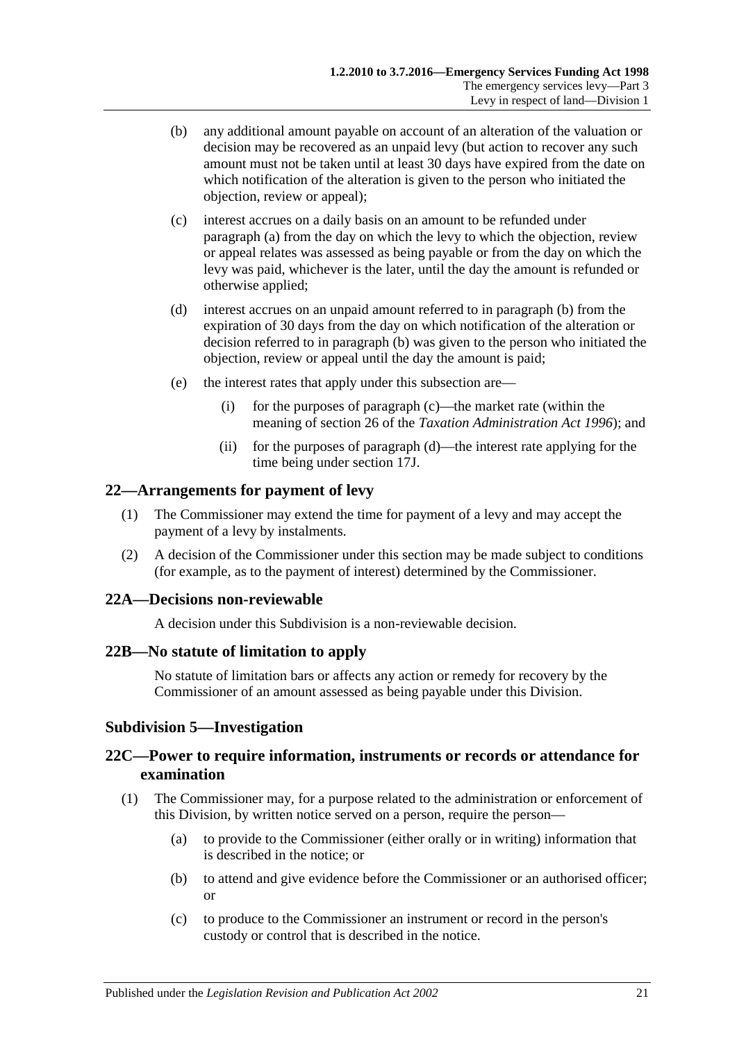- <span id="page-20-5"></span>(b) any additional amount payable on account of an alteration of the valuation or decision may be recovered as an unpaid levy (but action to recover any such amount must not be taken until at least 30 days have expired from the date on which notification of the alteration is given to the person who initiated the objection, review or appeal);
- <span id="page-20-6"></span>(c) interest accrues on a daily basis on an amount to be refunded under [paragraph](#page-19-2) (a) from the day on which the levy to which the objection, review or appeal relates was assessed as being payable or from the day on which the levy was paid, whichever is the later, until the day the amount is refunded or otherwise applied;
- <span id="page-20-7"></span>(d) interest accrues on an unpaid amount referred to in [paragraph](#page-20-5) (b) from the expiration of 30 days from the day on which notification of the alteration or decision referred to in [paragraph](#page-20-5) (b) was given to the person who initiated the objection, review or appeal until the day the amount is paid;
- (e) the interest rates that apply under this subsection are—
	- (i) for the purposes of [paragraph](#page-20-6) (c)—the market rate (within the meaning of section 26 of the *[Taxation Administration Act](http://www.legislation.sa.gov.au/index.aspx?action=legref&type=act&legtitle=Taxation%20Administration%20Act%201996) 1996*); and
	- (ii) for the purposes of [paragraph](#page-20-7) (d)—the interest rate applying for the time being under [section](#page-14-4) 17J.

#### <span id="page-20-0"></span>**22—Arrangements for payment of levy**

- (1) The Commissioner may extend the time for payment of a levy and may accept the payment of a levy by instalments.
- (2) A decision of the Commissioner under this section may be made subject to conditions (for example, as to the payment of interest) determined by the Commissioner.

#### <span id="page-20-1"></span>**22A—Decisions non-reviewable**

A decision under this Subdivision is a non-reviewable decision.

#### <span id="page-20-2"></span>**22B—No statute of limitation to apply**

No statute of limitation bars or affects any action or remedy for recovery by the Commissioner of an amount assessed as being payable under this Division.

## <span id="page-20-3"></span>**Subdivision 5—Investigation**

## <span id="page-20-4"></span>**22C—Power to require information, instruments or records or attendance for examination**

- (1) The Commissioner may, for a purpose related to the administration or enforcement of this Division, by written notice served on a person, require the person—
	- (a) to provide to the Commissioner (either orally or in writing) information that is described in the notice; or
	- (b) to attend and give evidence before the Commissioner or an authorised officer; or
	- (c) to produce to the Commissioner an instrument or record in the person's custody or control that is described in the notice.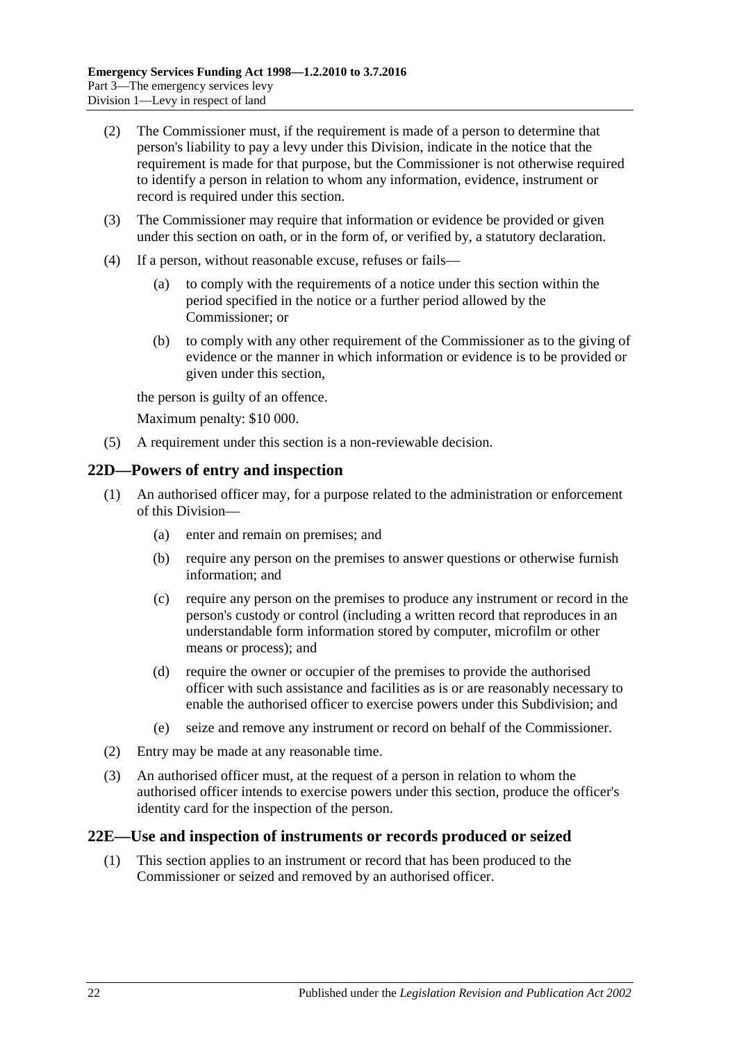- (2) The Commissioner must, if the requirement is made of a person to determine that person's liability to pay a levy under this Division, indicate in the notice that the requirement is made for that purpose, but the Commissioner is not otherwise required to identify a person in relation to whom any information, evidence, instrument or record is required under this section.
- (3) The Commissioner may require that information or evidence be provided or given under this section on oath, or in the form of, or verified by, a statutory declaration.
- (4) If a person, without reasonable excuse, refuses or fails—
	- (a) to comply with the requirements of a notice under this section within the period specified in the notice or a further period allowed by the Commissioner; or
	- (b) to comply with any other requirement of the Commissioner as to the giving of evidence or the manner in which information or evidence is to be provided or given under this section,

the person is guilty of an offence.

Maximum penalty: \$10 000.

(5) A requirement under this section is a non-reviewable decision.

#### <span id="page-21-0"></span>**22D—Powers of entry and inspection**

- (1) An authorised officer may, for a purpose related to the administration or enforcement of this Division—
	- (a) enter and remain on premises; and
	- (b) require any person on the premises to answer questions or otherwise furnish information; and
	- (c) require any person on the premises to produce any instrument or record in the person's custody or control (including a written record that reproduces in an understandable form information stored by computer, microfilm or other means or process); and
	- (d) require the owner or occupier of the premises to provide the authorised officer with such assistance and facilities as is or are reasonably necessary to enable the authorised officer to exercise powers under this Subdivision; and
	- (e) seize and remove any instrument or record on behalf of the Commissioner.
- (2) Entry may be made at any reasonable time.
- (3) An authorised officer must, at the request of a person in relation to whom the authorised officer intends to exercise powers under this section, produce the officer's identity card for the inspection of the person.

#### <span id="page-21-1"></span>**22E—Use and inspection of instruments or records produced or seized**

(1) This section applies to an instrument or record that has been produced to the Commissioner or seized and removed by an authorised officer.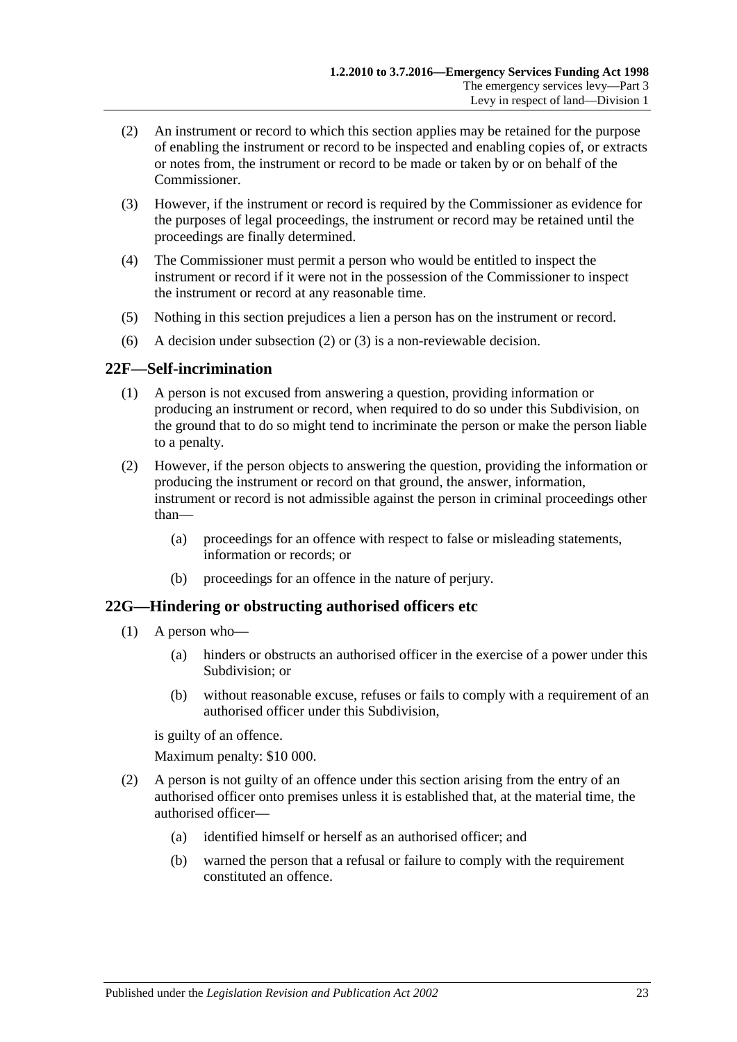- <span id="page-22-2"></span>(2) An instrument or record to which this section applies may be retained for the purpose of enabling the instrument or record to be inspected and enabling copies of, or extracts or notes from, the instrument or record to be made or taken by or on behalf of the Commissioner.
- <span id="page-22-3"></span>(3) However, if the instrument or record is required by the Commissioner as evidence for the purposes of legal proceedings, the instrument or record may be retained until the proceedings are finally determined.
- (4) The Commissioner must permit a person who would be entitled to inspect the instrument or record if it were not in the possession of the Commissioner to inspect the instrument or record at any reasonable time.
- (5) Nothing in this section prejudices a lien a person has on the instrument or record.
- (6) A decision under [subsection](#page-22-2) (2) or [\(3\)](#page-22-3) is a non-reviewable decision.

## <span id="page-22-0"></span>**22F—Self-incrimination**

- (1) A person is not excused from answering a question, providing information or producing an instrument or record, when required to do so under this Subdivision, on the ground that to do so might tend to incriminate the person or make the person liable to a penalty.
- (2) However, if the person objects to answering the question, providing the information or producing the instrument or record on that ground, the answer, information, instrument or record is not admissible against the person in criminal proceedings other than—
	- (a) proceedings for an offence with respect to false or misleading statements, information or records; or
	- (b) proceedings for an offence in the nature of perjury.

#### <span id="page-22-1"></span>**22G—Hindering or obstructing authorised officers etc**

- (1) A person who—
	- (a) hinders or obstructs an authorised officer in the exercise of a power under this Subdivision; or
	- (b) without reasonable excuse, refuses or fails to comply with a requirement of an authorised officer under this Subdivision,

is guilty of an offence.

Maximum penalty: \$10 000.

- (2) A person is not guilty of an offence under this section arising from the entry of an authorised officer onto premises unless it is established that, at the material time, the authorised officer—
	- (a) identified himself or herself as an authorised officer; and
	- (b) warned the person that a refusal or failure to comply with the requirement constituted an offence.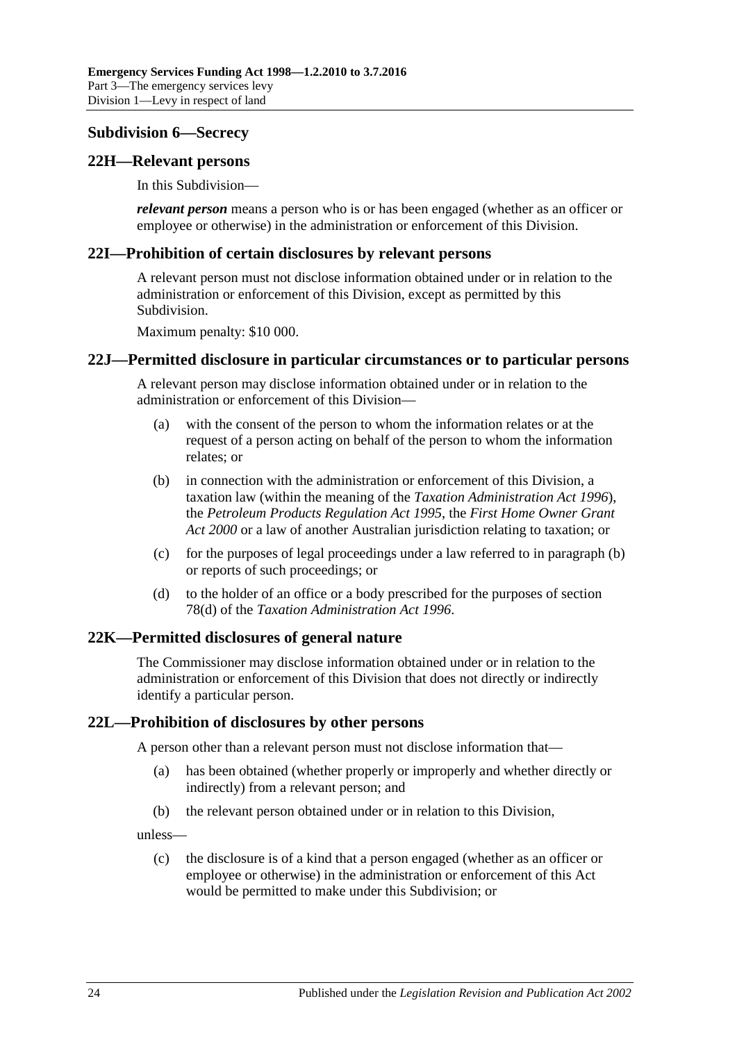## <span id="page-23-0"></span>**Subdivision 6—Secrecy**

#### <span id="page-23-1"></span>**22H—Relevant persons**

In this Subdivision—

*relevant person* means a person who is or has been engaged (whether as an officer or employee or otherwise) in the administration or enforcement of this Division.

#### <span id="page-23-2"></span>**22I—Prohibition of certain disclosures by relevant persons**

A relevant person must not disclose information obtained under or in relation to the administration or enforcement of this Division, except as permitted by this Subdivision.

Maximum penalty: \$10 000.

#### <span id="page-23-3"></span>**22J—Permitted disclosure in particular circumstances or to particular persons**

A relevant person may disclose information obtained under or in relation to the administration or enforcement of this Division—

- (a) with the consent of the person to whom the information relates or at the request of a person acting on behalf of the person to whom the information relates; or
- <span id="page-23-6"></span>(b) in connection with the administration or enforcement of this Division, a taxation law (within the meaning of the *[Taxation Administration Act](http://www.legislation.sa.gov.au/index.aspx?action=legref&type=act&legtitle=Taxation%20Administration%20Act%201996) 1996*), the *[Petroleum Products Regulation Act](http://www.legislation.sa.gov.au/index.aspx?action=legref&type=act&legtitle=Petroleum%20Products%20Regulation%20Act%201995) 1995*, the *[First Home Owner Grant](http://www.legislation.sa.gov.au/index.aspx?action=legref&type=act&legtitle=First%20Home%20Owner%20Grant%20Act%202000)  Act [2000](http://www.legislation.sa.gov.au/index.aspx?action=legref&type=act&legtitle=First%20Home%20Owner%20Grant%20Act%202000)* or a law of another Australian jurisdiction relating to taxation; or
- (c) for the purposes of legal proceedings under a law referred to in [paragraph](#page-23-6) (b) or reports of such proceedings; or
- (d) to the holder of an office or a body prescribed for the purposes of section 78(d) of the *[Taxation Administration Act](http://www.legislation.sa.gov.au/index.aspx?action=legref&type=act&legtitle=Taxation%20Administration%20Act%201996) 1996*.

## <span id="page-23-4"></span>**22K—Permitted disclosures of general nature**

The Commissioner may disclose information obtained under or in relation to the administration or enforcement of this Division that does not directly or indirectly identify a particular person.

## <span id="page-23-5"></span>**22L—Prohibition of disclosures by other persons**

A person other than a relevant person must not disclose information that—

- (a) has been obtained (whether properly or improperly and whether directly or indirectly) from a relevant person; and
- (b) the relevant person obtained under or in relation to this Division,

unless—

(c) the disclosure is of a kind that a person engaged (whether as an officer or employee or otherwise) in the administration or enforcement of this Act would be permitted to make under this Subdivision; or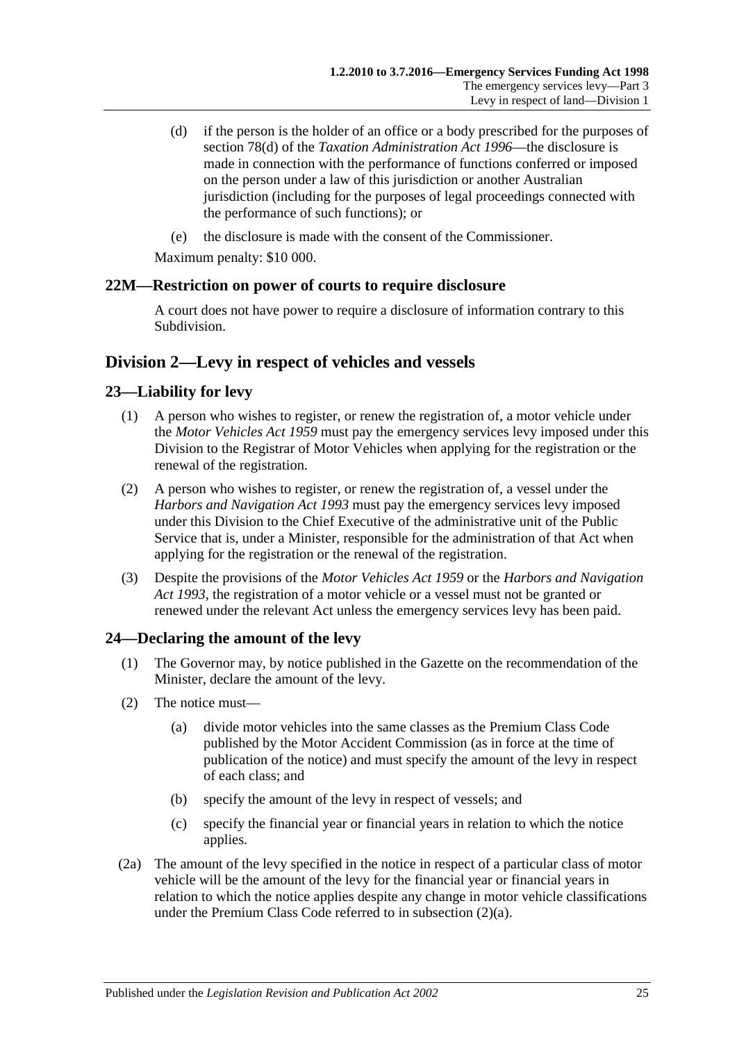- (d) if the person is the holder of an office or a body prescribed for the purposes of section 78(d) of the *[Taxation Administration Act](http://www.legislation.sa.gov.au/index.aspx?action=legref&type=act&legtitle=Taxation%20Administration%20Act%201996) 1996*—the disclosure is made in connection with the performance of functions conferred or imposed on the person under a law of this jurisdiction or another Australian jurisdiction (including for the purposes of legal proceedings connected with the performance of such functions); or
- (e) the disclosure is made with the consent of the Commissioner.

Maximum penalty: \$10 000.

## <span id="page-24-0"></span>**22M—Restriction on power of courts to require disclosure**

A court does not have power to require a disclosure of information contrary to this Subdivision.

## <span id="page-24-1"></span>**Division 2—Levy in respect of vehicles and vessels**

## <span id="page-24-2"></span>**23—Liability for levy**

- (1) A person who wishes to register, or renew the registration of, a motor vehicle under the *[Motor Vehicles Act](http://www.legislation.sa.gov.au/index.aspx?action=legref&type=act&legtitle=Motor%20Vehicles%20Act%201959) 1959* must pay the emergency services levy imposed under this Division to the Registrar of Motor Vehicles when applying for the registration or the renewal of the registration.
- (2) A person who wishes to register, or renew the registration of, a vessel under the *[Harbors and Navigation Act](http://www.legislation.sa.gov.au/index.aspx?action=legref&type=act&legtitle=Harbors%20and%20Navigation%20Act%201993) 1993* must pay the emergency services levy imposed under this Division to the Chief Executive of the administrative unit of the Public Service that is, under a Minister, responsible for the administration of that Act when applying for the registration or the renewal of the registration.
- (3) Despite the provisions of the *[Motor Vehicles Act](http://www.legislation.sa.gov.au/index.aspx?action=legref&type=act&legtitle=Motor%20Vehicles%20Act%201959) 1959* or the *[Harbors and Navigation](http://www.legislation.sa.gov.au/index.aspx?action=legref&type=act&legtitle=Harbors%20and%20Navigation%20Act%201993)  Act [1993](http://www.legislation.sa.gov.au/index.aspx?action=legref&type=act&legtitle=Harbors%20and%20Navigation%20Act%201993)*, the registration of a motor vehicle or a vessel must not be granted or renewed under the relevant Act unless the emergency services levy has been paid.

## <span id="page-24-5"></span><span id="page-24-3"></span>**24—Declaring the amount of the levy**

- (1) The Governor may, by notice published in the Gazette on the recommendation of the Minister, declare the amount of the levy.
- <span id="page-24-4"></span>(2) The notice must—
	- (a) divide motor vehicles into the same classes as the Premium Class Code published by the Motor Accident Commission (as in force at the time of publication of the notice) and must specify the amount of the levy in respect of each class; and
	- (b) specify the amount of the levy in respect of vessels; and
	- (c) specify the financial year or financial years in relation to which the notice applies.
- (2a) The amount of the levy specified in the notice in respect of a particular class of motor vehicle will be the amount of the levy for the financial year or financial years in relation to which the notice applies despite any change in motor vehicle classifications under the Premium Class Code referred to in [subsection](#page-24-4) (2)(a).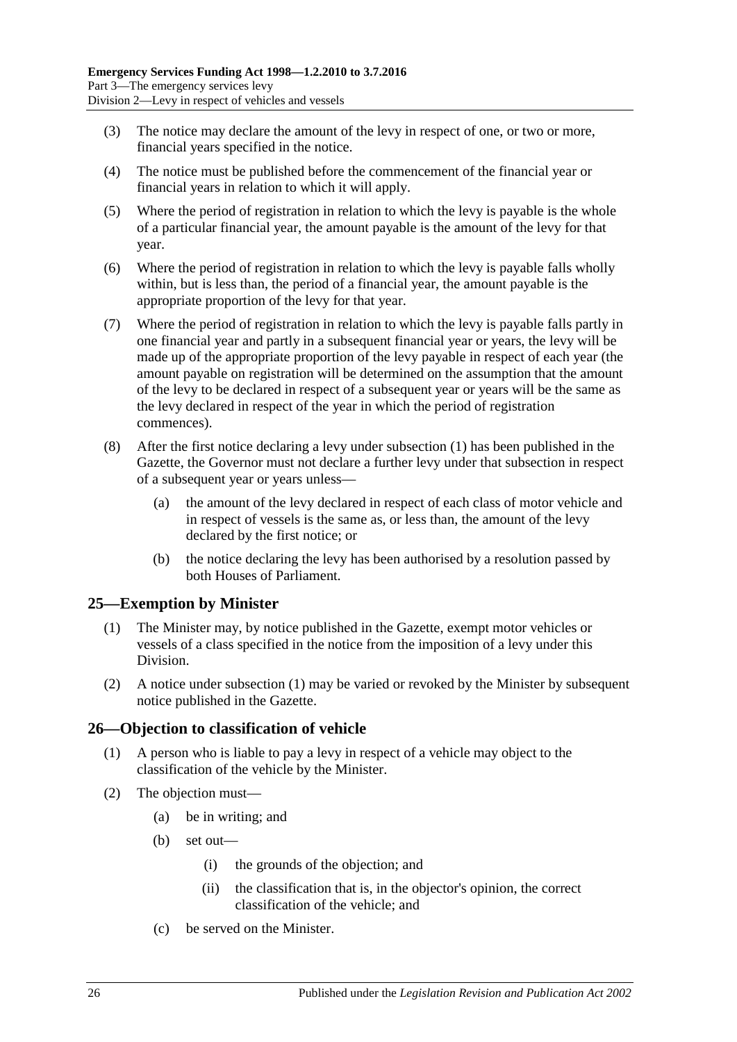- (3) The notice may declare the amount of the levy in respect of one, or two or more, financial years specified in the notice.
- (4) The notice must be published before the commencement of the financial year or financial years in relation to which it will apply.
- (5) Where the period of registration in relation to which the levy is payable is the whole of a particular financial year, the amount payable is the amount of the levy for that year.
- (6) Where the period of registration in relation to which the levy is payable falls wholly within, but is less than, the period of a financial year, the amount payable is the appropriate proportion of the levy for that year.
- (7) Where the period of registration in relation to which the levy is payable falls partly in one financial year and partly in a subsequent financial year or years, the levy will be made up of the appropriate proportion of the levy payable in respect of each year (the amount payable on registration will be determined on the assumption that the amount of the levy to be declared in respect of a subsequent year or years will be the same as the levy declared in respect of the year in which the period of registration commences).
- (8) After the first notice declaring a levy under [subsection](#page-24-5) (1) has been published in the Gazette, the Governor must not declare a further levy under that subsection in respect of a subsequent year or years unless—
	- (a) the amount of the levy declared in respect of each class of motor vehicle and in respect of vessels is the same as, or less than, the amount of the levy declared by the first notice; or
	- (b) the notice declaring the levy has been authorised by a resolution passed by both Houses of Parliament.

## <span id="page-25-2"></span><span id="page-25-0"></span>**25—Exemption by Minister**

- (1) The Minister may, by notice published in the Gazette, exempt motor vehicles or vessels of a class specified in the notice from the imposition of a levy under this Division.
- (2) A notice under [subsection](#page-25-2) (1) may be varied or revoked by the Minister by subsequent notice published in the Gazette.

## <span id="page-25-1"></span>**26—Objection to classification of vehicle**

- (1) A person who is liable to pay a levy in respect of a vehicle may object to the classification of the vehicle by the Minister.
- (2) The objection must—
	- (a) be in writing; and
	- (b) set out—
		- (i) the grounds of the objection; and
		- (ii) the classification that is, in the objector's opinion, the correct classification of the vehicle; and
	- (c) be served on the Minister.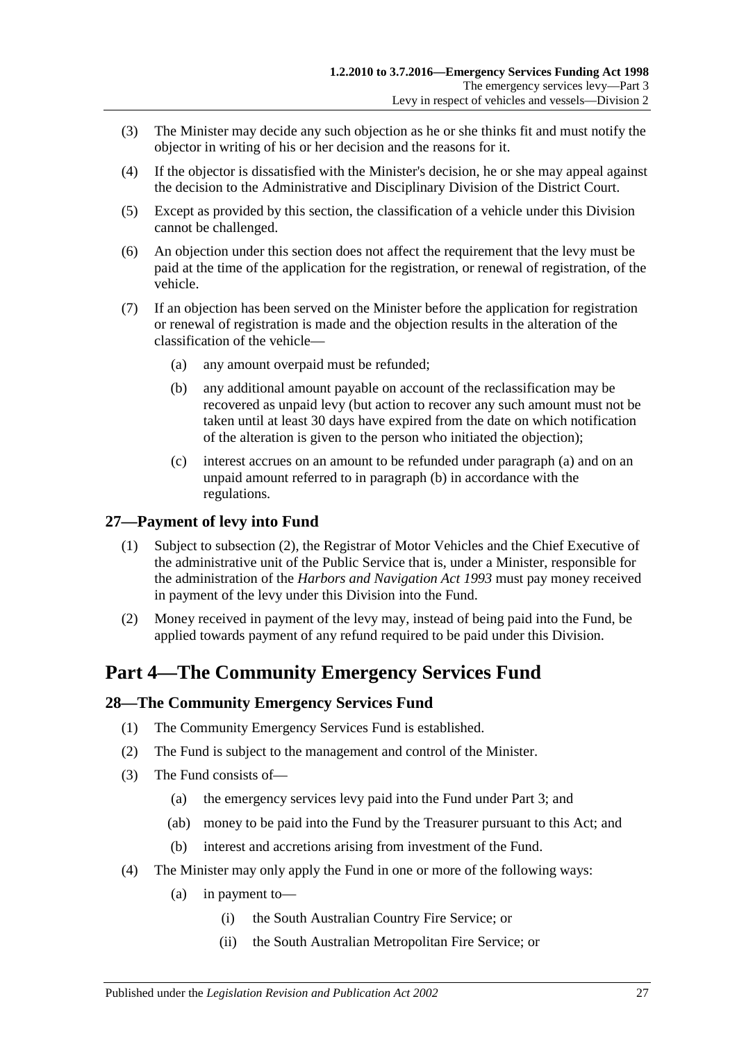- (3) The Minister may decide any such objection as he or she thinks fit and must notify the objector in writing of his or her decision and the reasons for it.
- (4) If the objector is dissatisfied with the Minister's decision, he or she may appeal against the decision to the Administrative and Disciplinary Division of the District Court.
- (5) Except as provided by this section, the classification of a vehicle under this Division cannot be challenged.
- (6) An objection under this section does not affect the requirement that the levy must be paid at the time of the application for the registration, or renewal of registration, of the vehicle.
- <span id="page-26-5"></span><span id="page-26-4"></span>(7) If an objection has been served on the Minister before the application for registration or renewal of registration is made and the objection results in the alteration of the classification of the vehicle—
	- (a) any amount overpaid must be refunded;
	- (b) any additional amount payable on account of the reclassification may be recovered as unpaid levy (but action to recover any such amount must not be taken until at least 30 days have expired from the date on which notification of the alteration is given to the person who initiated the objection);
	- (c) interest accrues on an amount to be refunded under [paragraph](#page-26-4) (a) and on an unpaid amount referred to in [paragraph](#page-26-5) (b) in accordance with the regulations.

## <span id="page-26-0"></span>**27—Payment of levy into Fund**

- (1) Subject to [subsection](#page-26-6) (2), the Registrar of Motor Vehicles and the Chief Executive of the administrative unit of the Public Service that is, under a Minister, responsible for the administration of the *[Harbors and Navigation Act](http://www.legislation.sa.gov.au/index.aspx?action=legref&type=act&legtitle=Harbors%20and%20Navigation%20Act%201993) 1993* must pay money received in payment of the levy under this Division into the Fund.
- <span id="page-26-6"></span>(2) Money received in payment of the levy may, instead of being paid into the Fund, be applied towards payment of any refund required to be paid under this Division.

## <span id="page-26-1"></span>**Part 4—The Community Emergency Services Fund**

## <span id="page-26-2"></span>**28—The Community Emergency Services Fund**

- (1) The Community Emergency Services Fund is established.
- (2) The Fund is subject to the management and control of the Minister.
- (3) The Fund consists of—
	- (a) the emergency services levy paid into the Fund under [Part 3;](#page-4-1) and
	- (ab) money to be paid into the Fund by the Treasurer pursuant to this Act; and
	- (b) interest and accretions arising from investment of the Fund.
- <span id="page-26-3"></span>(4) The Minister may only apply the Fund in one or more of the following ways:
	- (a) in payment to—
		- (i) the South Australian Country Fire Service; or
		- (ii) the South Australian Metropolitan Fire Service; or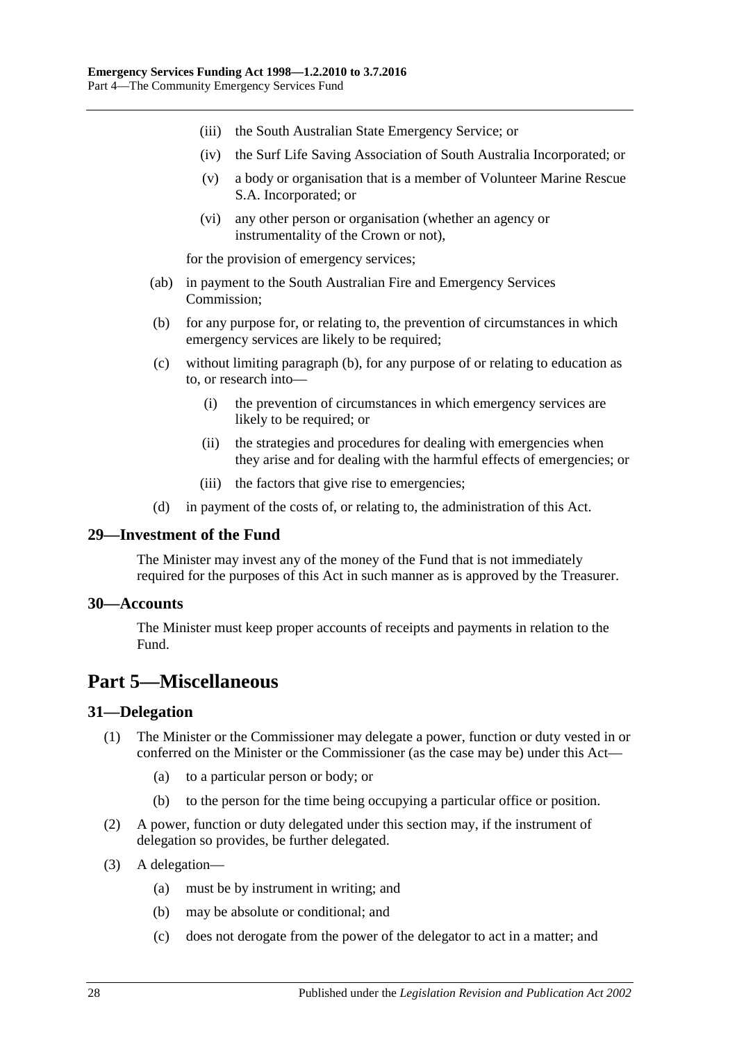- (iii) the South Australian State Emergency Service; or
- (iv) the Surf Life Saving Association of South Australia Incorporated; or
- (v) a body or organisation that is a member of Volunteer Marine Rescue S.A. Incorporated; or
- (vi) any other person or organisation (whether an agency or instrumentality of the Crown or not),

for the provision of emergency services;

- (ab) in payment to the South Australian Fire and Emergency Services Commission;
- <span id="page-27-4"></span>(b) for any purpose for, or relating to, the prevention of circumstances in which emergency services are likely to be required;
- (c) without limiting [paragraph](#page-27-4) (b), for any purpose of or relating to education as to, or research into—
	- (i) the prevention of circumstances in which emergency services are likely to be required; or
	- (ii) the strategies and procedures for dealing with emergencies when they arise and for dealing with the harmful effects of emergencies; or
	- (iii) the factors that give rise to emergencies;
- (d) in payment of the costs of, or relating to, the administration of this Act.

#### <span id="page-27-0"></span>**29—Investment of the Fund**

The Minister may invest any of the money of the Fund that is not immediately required for the purposes of this Act in such manner as is approved by the Treasurer.

#### <span id="page-27-1"></span>**30—Accounts**

The Minister must keep proper accounts of receipts and payments in relation to the Fund.

## <span id="page-27-2"></span>**Part 5—Miscellaneous**

## <span id="page-27-3"></span>**31—Delegation**

- (1) The Minister or the Commissioner may delegate a power, function or duty vested in or conferred on the Minister or the Commissioner (as the case may be) under this Act—
	- (a) to a particular person or body; or
	- (b) to the person for the time being occupying a particular office or position.
- (2) A power, function or duty delegated under this section may, if the instrument of delegation so provides, be further delegated.
- (3) A delegation—
	- (a) must be by instrument in writing; and
	- (b) may be absolute or conditional; and
	- (c) does not derogate from the power of the delegator to act in a matter; and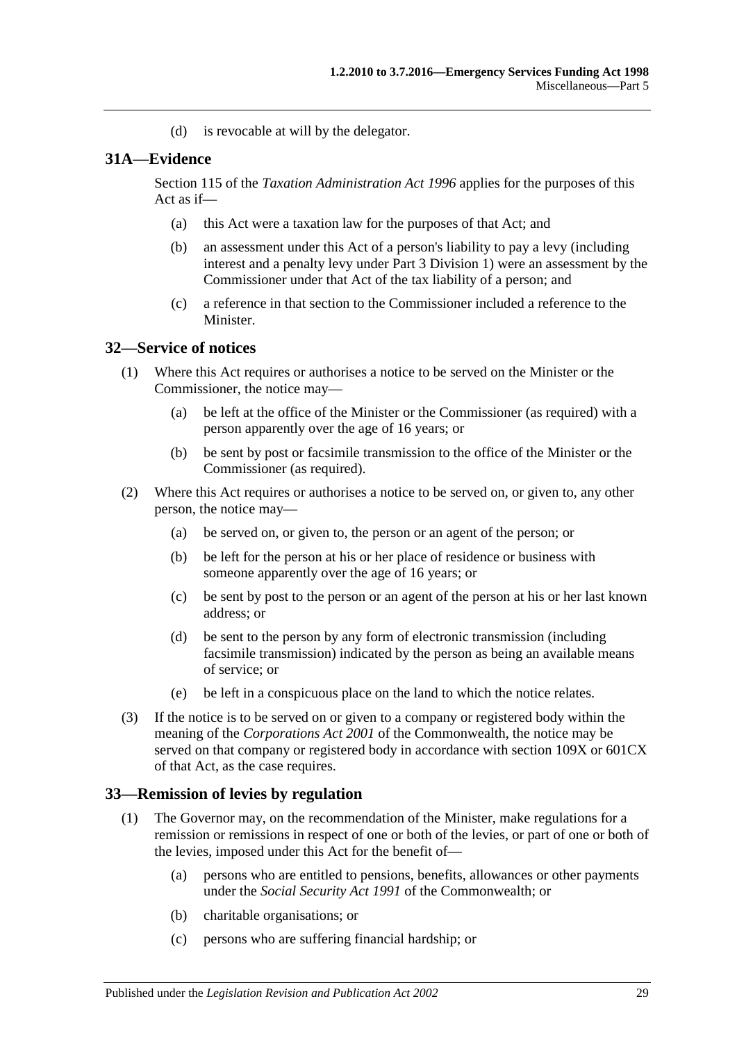(d) is revocable at will by the delegator.

#### <span id="page-28-0"></span>**31A—Evidence**

Section 115 of the *[Taxation Administration Act](http://www.legislation.sa.gov.au/index.aspx?action=legref&type=act&legtitle=Taxation%20Administration%20Act%201996) 1996* applies for the purposes of this Act as if—

- (a) this Act were a taxation law for the purposes of that Act; and
- (b) an assessment under this Act of a person's liability to pay a levy (including interest and a penalty levy under [Part 3 Division 1\)](#page-4-2) were an assessment by the Commissioner under that Act of the tax liability of a person; and
- (c) a reference in that section to the Commissioner included a reference to the Minister.

#### <span id="page-28-1"></span>**32—Service of notices**

- (1) Where this Act requires or authorises a notice to be served on the Minister or the Commissioner, the notice may—
	- (a) be left at the office of the Minister or the Commissioner (as required) with a person apparently over the age of 16 years; or
	- (b) be sent by post or facsimile transmission to the office of the Minister or the Commissioner (as required).
- (2) Where this Act requires or authorises a notice to be served on, or given to, any other person, the notice may—
	- (a) be served on, or given to, the person or an agent of the person; or
	- (b) be left for the person at his or her place of residence or business with someone apparently over the age of 16 years; or
	- (c) be sent by post to the person or an agent of the person at his or her last known address; or
	- (d) be sent to the person by any form of electronic transmission (including facsimile transmission) indicated by the person as being an available means of service; or
	- (e) be left in a conspicuous place on the land to which the notice relates.
- (3) If the notice is to be served on or given to a company or registered body within the meaning of the *Corporations Act 2001* of the Commonwealth, the notice may be served on that company or registered body in accordance with section 109X or 601CX of that Act, as the case requires.

## <span id="page-28-3"></span><span id="page-28-2"></span>**33—Remission of levies by regulation**

- (1) The Governor may, on the recommendation of the Minister, make regulations for a remission or remissions in respect of one or both of the levies, or part of one or both of the levies, imposed under this Act for the benefit of—
	- (a) persons who are entitled to pensions, benefits, allowances or other payments under the *Social Security Act 1991* of the Commonwealth; or
	- (b) charitable organisations; or
	- (c) persons who are suffering financial hardship; or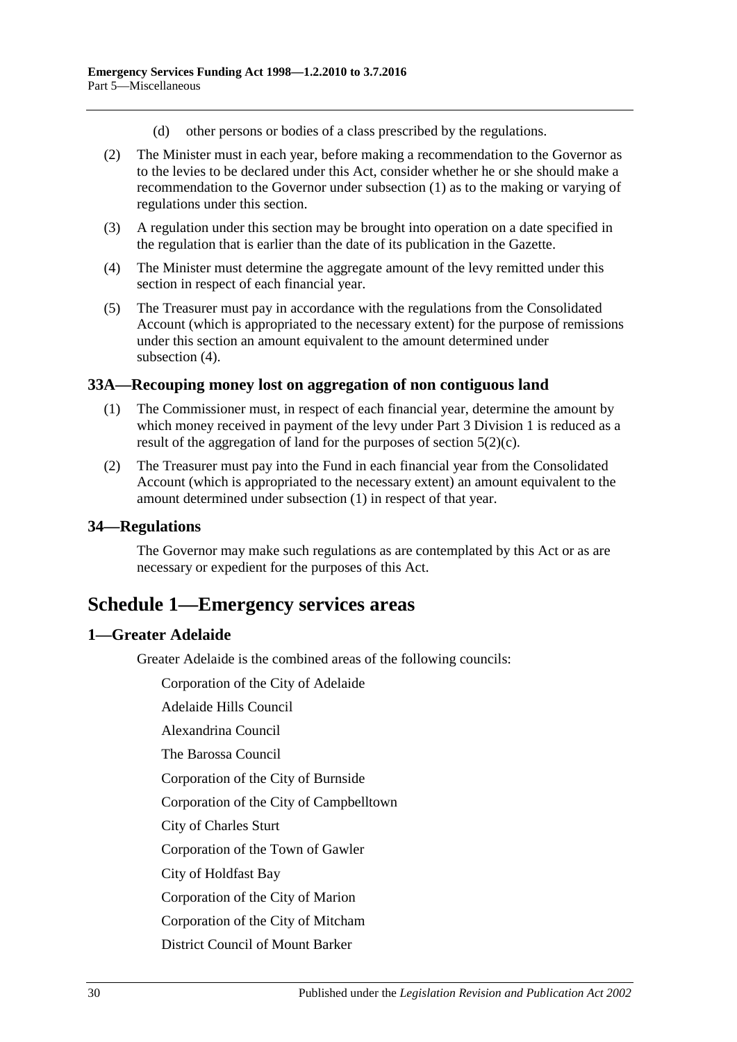- (d) other persons or bodies of a class prescribed by the regulations.
- (2) The Minister must in each year, before making a recommendation to the Governor as to the levies to be declared under this Act, consider whether he or she should make a recommendation to the Governor under [subsection](#page-28-3) (1) as to the making or varying of regulations under this section.
- (3) A regulation under this section may be brought into operation on a date specified in the regulation that is earlier than the date of its publication in the Gazette.
- <span id="page-29-4"></span>(4) The Minister must determine the aggregate amount of the levy remitted under this section in respect of each financial year.
- (5) The Treasurer must pay in accordance with the regulations from the Consolidated Account (which is appropriated to the necessary extent) for the purpose of remissions under this section an amount equivalent to the amount determined under [subsection](#page-29-4) (4).

#### <span id="page-29-5"></span><span id="page-29-0"></span>**33A—Recouping money lost on aggregation of non contiguous land**

- (1) The Commissioner must, in respect of each financial year, determine the amount by which money received in payment of the levy under [Part 3 Division 1](#page-4-2) is reduced as a result of the aggregation of land for the purposes of [section](#page-4-8)  $5(2)(c)$ .
- (2) The Treasurer must pay into the Fund in each financial year from the Consolidated Account (which is appropriated to the necessary extent) an amount equivalent to the amount determined under [subsection](#page-29-5) (1) in respect of that year.

#### <span id="page-29-1"></span>**34—Regulations**

The Governor may make such regulations as are contemplated by this Act or as are necessary or expedient for the purposes of this Act.

## <span id="page-29-2"></span>**Schedule 1—Emergency services areas**

## <span id="page-29-3"></span>**1—Greater Adelaide**

Greater Adelaide is the combined areas of the following councils:

Corporation of the City of Adelaide

Adelaide Hills Council

Alexandrina Council

The Barossa Council

Corporation of the City of Burnside

Corporation of the City of Campbelltown

City of Charles Sturt

Corporation of the Town of Gawler

City of Holdfast Bay

Corporation of the City of Marion

Corporation of the City of Mitcham

District Council of Mount Barker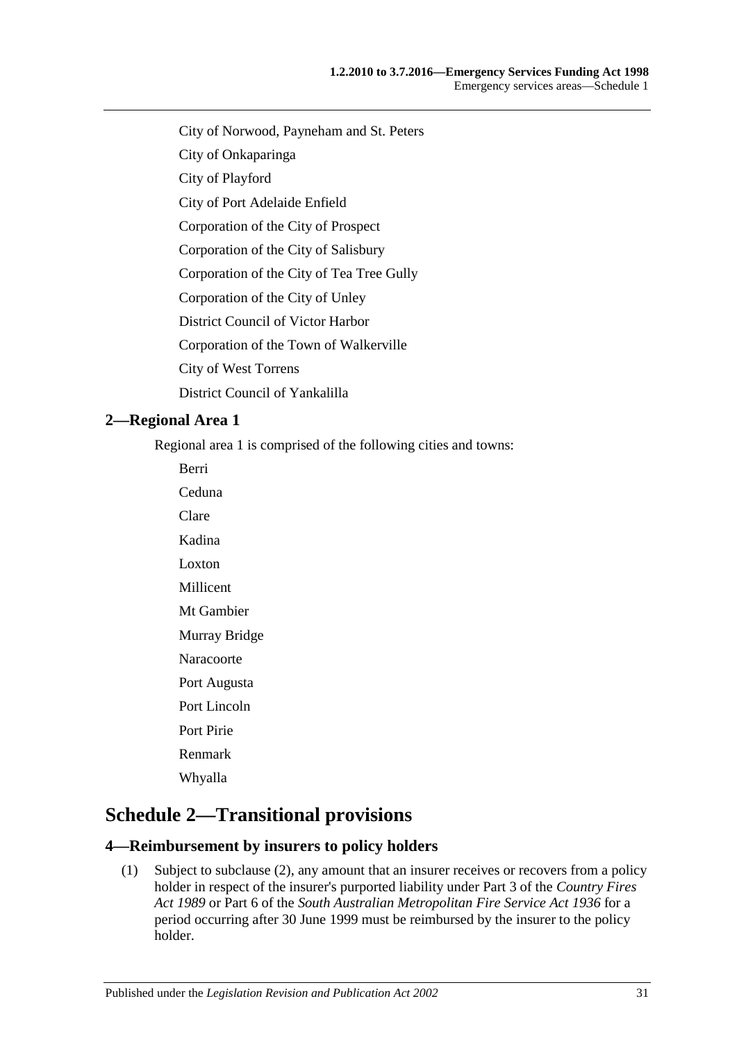- City of Norwood, Payneham and St. Peters
- City of Onkaparinga
- City of Playford
- City of Port Adelaide Enfield
- Corporation of the City of Prospect
- Corporation of the City of Salisbury
- Corporation of the City of Tea Tree Gully
- Corporation of the City of Unley
- District Council of Victor Harbor
- Corporation of the Town of Walkerville
- City of West Torrens
- District Council of Yankalilla

## <span id="page-30-0"></span>**2—Regional Area 1**

Regional area 1 is comprised of the following cities and towns:

Berri Ceduna Clare Kadina Loxton Millicent Mt Gambier Murray Bridge Naracoorte Port Augusta Port Lincoln Port Pirie Renmark Whyalla

## <span id="page-30-1"></span>**Schedule 2—Transitional provisions**

## <span id="page-30-3"></span><span id="page-30-2"></span>**4—Reimbursement by insurers to policy holders**

(1) Subject to [subclause](#page-31-2) (2), any amount that an insurer receives or recovers from a policy holder in respect of the insurer's purported liability under Part 3 of the *[Country Fires](http://www.legislation.sa.gov.au/index.aspx?action=legref&type=act&legtitle=Country%20Fires%20Act%201989)  Act [1989](http://www.legislation.sa.gov.au/index.aspx?action=legref&type=act&legtitle=Country%20Fires%20Act%201989)* or Part 6 of the *[South Australian Metropolitan Fire Service Act](http://www.legislation.sa.gov.au/index.aspx?action=legref&type=act&legtitle=South%20Australian%20Metropolitan%20Fire%20Service%20Act%201936) 1936* for a period occurring after 30 June 1999 must be reimbursed by the insurer to the policy holder.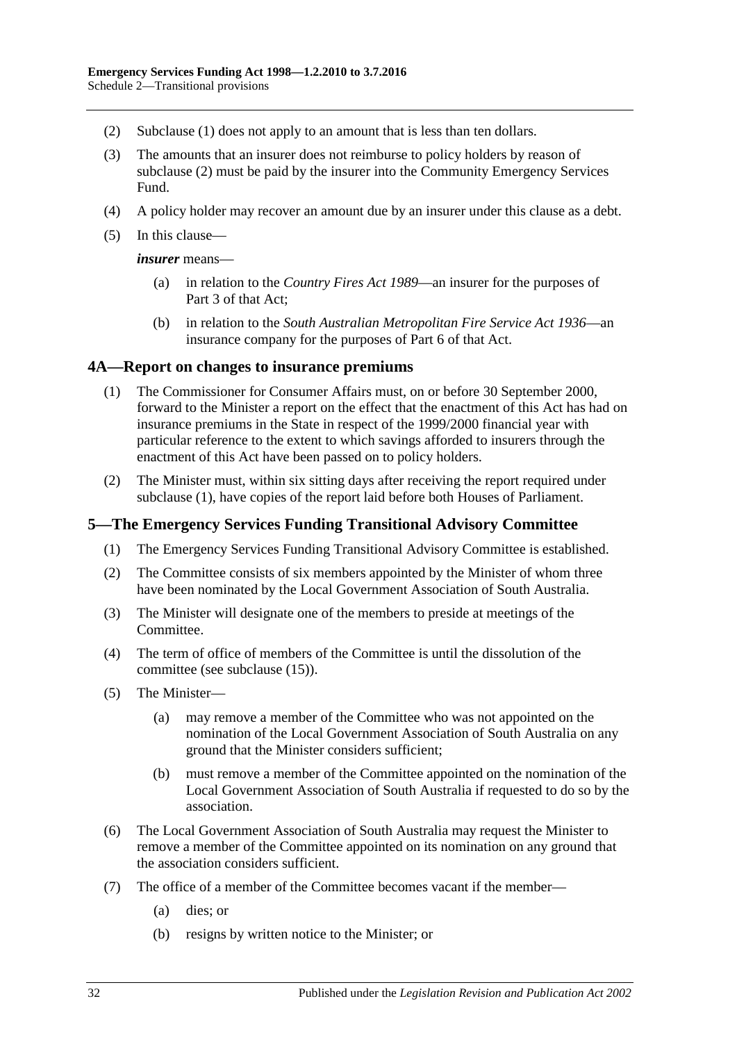- <span id="page-31-2"></span>(2) [Subclause](#page-30-3) (1) does not apply to an amount that is less than ten dollars.
- (3) The amounts that an insurer does not reimburse to policy holders by reason of [subclause](#page-31-2) (2) must be paid by the insurer into the Community Emergency Services Fund.
- (4) A policy holder may recover an amount due by an insurer under this clause as a debt.
- (5) In this clause—

*insurer* means—

- (a) in relation to the *[Country Fires Act](http://www.legislation.sa.gov.au/index.aspx?action=legref&type=act&legtitle=Country%20Fires%20Act%201989) 1989*—an insurer for the purposes of Part 3 of that Act;
- (b) in relation to the *[South Australian Metropolitan Fire Service Act](http://www.legislation.sa.gov.au/index.aspx?action=legref&type=act&legtitle=South%20Australian%20Metropolitan%20Fire%20Service%20Act%201936) 1936*—an insurance company for the purposes of Part 6 of that Act.

#### <span id="page-31-3"></span><span id="page-31-0"></span>**4A—Report on changes to insurance premiums**

- (1) The Commissioner for Consumer Affairs must, on or before 30 September 2000, forward to the Minister a report on the effect that the enactment of this Act has had on insurance premiums in the State in respect of the 1999/2000 financial year with particular reference to the extent to which savings afforded to insurers through the enactment of this Act have been passed on to policy holders.
- (2) The Minister must, within six sitting days after receiving the report required under [subclause](#page-31-3) (1), have copies of the report laid before both Houses of Parliament.

#### <span id="page-31-1"></span>**5—The Emergency Services Funding Transitional Advisory Committee**

- (1) The Emergency Services Funding Transitional Advisory Committee is established.
- (2) The Committee consists of six members appointed by the Minister of whom three have been nominated by the Local Government Association of South Australia.
- (3) The Minister will designate one of the members to preside at meetings of the Committee.
- (4) The term of office of members of the Committee is until the dissolution of the committee (see [subclause](#page-32-1) (15)).
- <span id="page-31-4"></span>(5) The Minister—
	- (a) may remove a member of the Committee who was not appointed on the nomination of the Local Government Association of South Australia on any ground that the Minister considers sufficient;
	- (b) must remove a member of the Committee appointed on the nomination of the Local Government Association of South Australia if requested to do so by the association.
- (6) The Local Government Association of South Australia may request the Minister to remove a member of the Committee appointed on its nomination on any ground that the association considers sufficient.
- (7) The office of a member of the Committee becomes vacant if the member—
	- (a) dies; or
	- (b) resigns by written notice to the Minister; or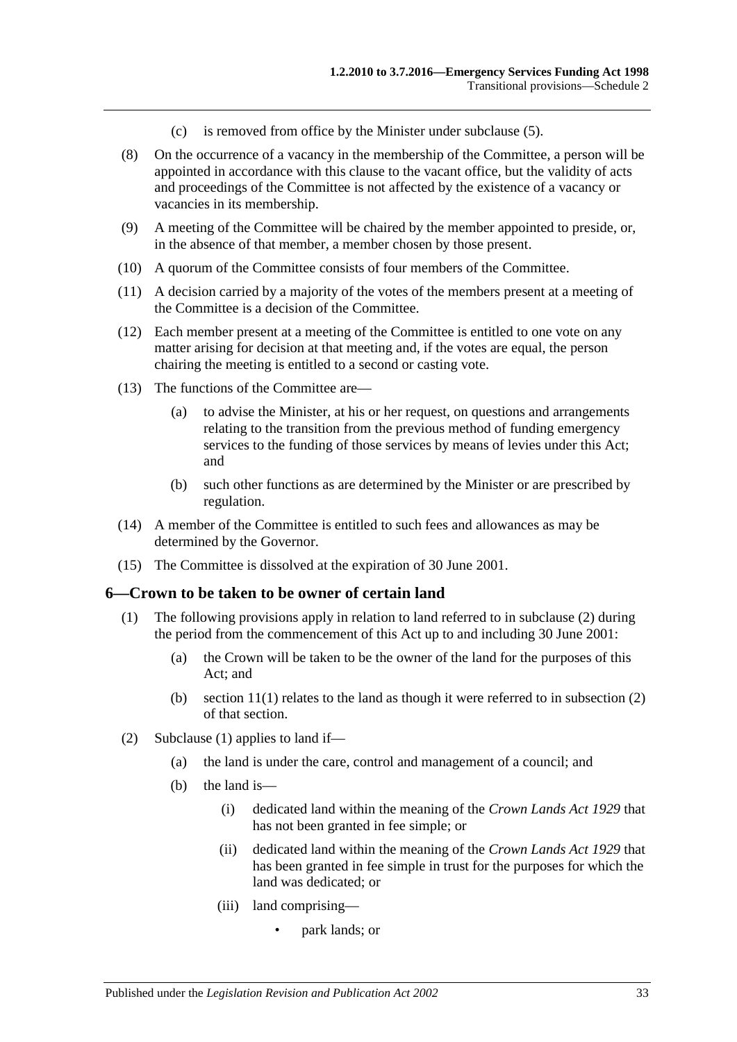- (c) is removed from office by the Minister under [subclause](#page-31-4) (5).
- (8) On the occurrence of a vacancy in the membership of the Committee, a person will be appointed in accordance with this clause to the vacant office, but the validity of acts and proceedings of the Committee is not affected by the existence of a vacancy or vacancies in its membership.
- (9) A meeting of the Committee will be chaired by the member appointed to preside, or, in the absence of that member, a member chosen by those present.
- (10) A quorum of the Committee consists of four members of the Committee.
- (11) A decision carried by a majority of the votes of the members present at a meeting of the Committee is a decision of the Committee.
- (12) Each member present at a meeting of the Committee is entitled to one vote on any matter arising for decision at that meeting and, if the votes are equal, the person chairing the meeting is entitled to a second or casting vote.
- (13) The functions of the Committee are—
	- (a) to advise the Minister, at his or her request, on questions and arrangements relating to the transition from the previous method of funding emergency services to the funding of those services by means of levies under this Act; and
	- (b) such other functions as are determined by the Minister or are prescribed by regulation.
- (14) A member of the Committee is entitled to such fees and allowances as may be determined by the Governor.
- <span id="page-32-1"></span>(15) The Committee is dissolved at the expiration of 30 June 2001.

#### <span id="page-32-3"></span><span id="page-32-0"></span>**6—Crown to be taken to be owner of certain land**

- (1) The following provisions apply in relation to land referred to in [subclause](#page-32-2) (2) during the period from the commencement of this Act up to and including 30 June 2001:
	- (a) the Crown will be taken to be the owner of the land for the purposes of this Act; and
	- (b) section  $11(1)$  relates to the land as though it were referred to in subsection (2) of that section.
- <span id="page-32-2"></span>(2) [Subclause](#page-32-3) (1) applies to land if—
	- (a) the land is under the care, control and management of a council; and
	- (b) the land is—
		- (i) dedicated land within the meaning of the *[Crown Lands Act](http://www.legislation.sa.gov.au/index.aspx?action=legref&type=act&legtitle=Crown%20Lands%20Act%201929) 1929* that has not been granted in fee simple; or
		- (ii) dedicated land within the meaning of the *[Crown Lands Act](http://www.legislation.sa.gov.au/index.aspx?action=legref&type=act&legtitle=Crown%20Lands%20Act%201929) 1929* that has been granted in fee simple in trust for the purposes for which the land was dedicated; or
		- (iii) land comprising—
			- park lands; or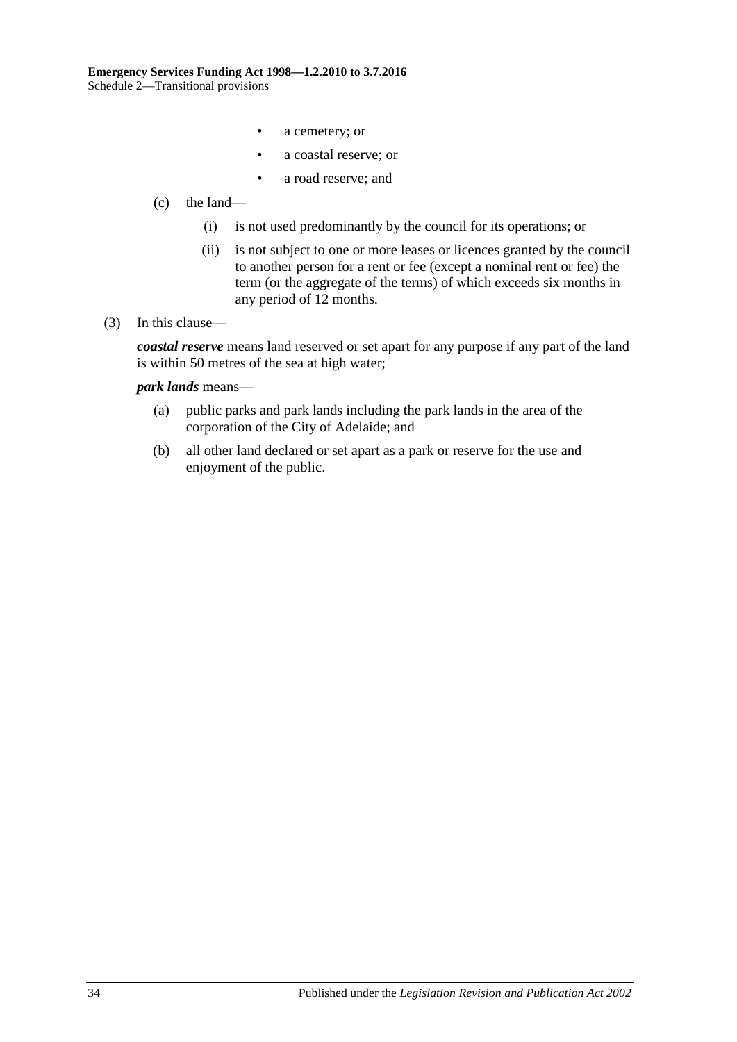- a cemetery; or
- a coastal reserve; or
- a road reserve; and
- (c) the land—
	- (i) is not used predominantly by the council for its operations; or
	- (ii) is not subject to one or more leases or licences granted by the council to another person for a rent or fee (except a nominal rent or fee) the term (or the aggregate of the terms) of which exceeds six months in any period of 12 months.
- (3) In this clause—

*coastal reserve* means land reserved or set apart for any purpose if any part of the land is within 50 metres of the sea at high water;

#### *park lands* means—

- (a) public parks and park lands including the park lands in the area of the corporation of the City of Adelaide; and
- (b) all other land declared or set apart as a park or reserve for the use and enjoyment of the public.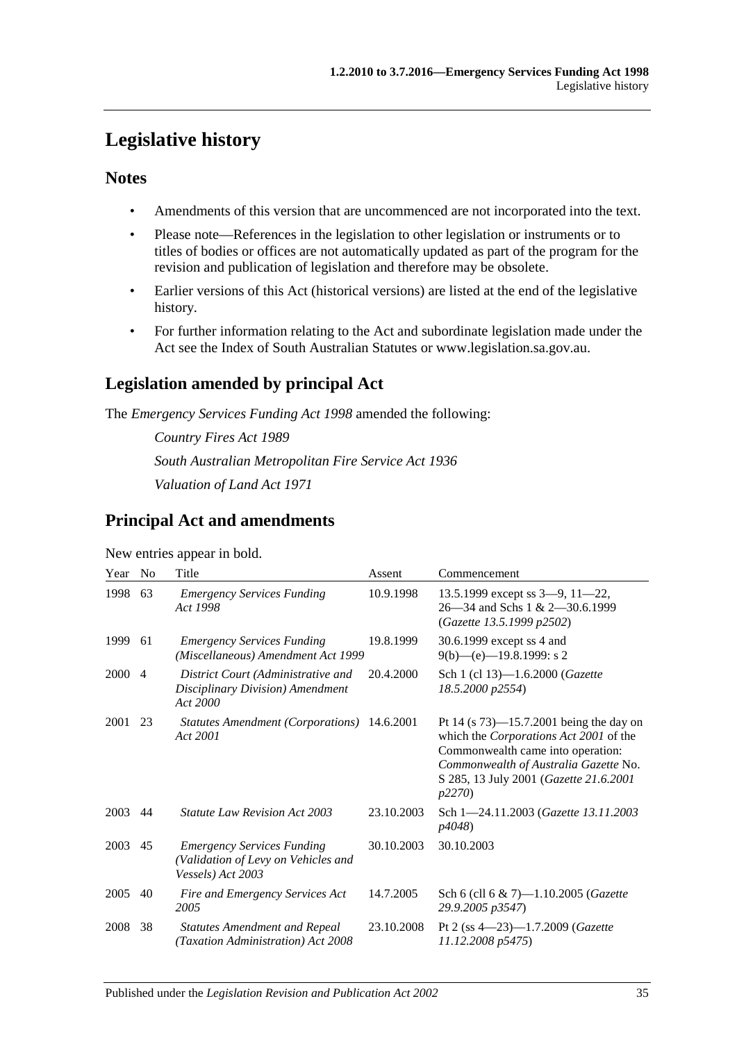## <span id="page-34-0"></span>**Legislative history**

## **Notes**

- Amendments of this version that are uncommenced are not incorporated into the text.
- Please note—References in the legislation to other legislation or instruments or to titles of bodies or offices are not automatically updated as part of the program for the revision and publication of legislation and therefore may be obsolete.
- Earlier versions of this Act (historical versions) are listed at the end of the legislative history.
- For further information relating to the Act and subordinate legislation made under the Act see the Index of South Australian Statutes or www.legislation.sa.gov.au.

## **Legislation amended by principal Act**

The *Emergency Services Funding Act 1998* amended the following:

*Country Fires Act 1989 South Australian Metropolitan Fire Service Act 1936 Valuation of Land Act 1971*

## **Principal Act and amendments**

New entries appear in bold.

| Year | N <sub>0</sub> | Title                                                                                         | Assent     | Commencement                                                                                                                                                                                                           |
|------|----------------|-----------------------------------------------------------------------------------------------|------------|------------------------------------------------------------------------------------------------------------------------------------------------------------------------------------------------------------------------|
| 1998 | 63             | <b>Emergency Services Funding</b><br>Act 1998                                                 | 10.9.1998  | 13.5.1999 except ss $3-9$ , $11-22$ ,<br>26—34 and Schs 1 & 2—30.6.1999<br>(Gazette 13.5.1999 p2502)                                                                                                                   |
| 1999 | 61             | <b>Emergency Services Funding</b><br>(Miscellaneous) Amendment Act 1999                       | 19.8.1999  | 30.6.1999 except ss 4 and<br>$9(b)$ —(e)—19.8.1999: s 2                                                                                                                                                                |
| 2000 | $\overline{4}$ | District Court (Administrative and<br>Disciplinary Division) Amendment<br>Act 2000            | 20.4.2000  | Sch 1 (cl 13)-1.6.2000 (Gazette<br>18.5.2000 p2554)                                                                                                                                                                    |
| 2001 | 23             | Statutes Amendment (Corporations) 14.6.2001<br>Act 2001                                       |            | Pt 14 (s $73$ )—15.7.2001 being the day on<br>which the Corporations Act 2001 of the<br>Commonwealth came into operation:<br>Commonwealth of Australia Gazette No.<br>S 285, 13 July 2001 (Gazette 21.6.2001<br>p2270) |
| 2003 | 44             | <i>Statute Law Revision Act 2003</i>                                                          | 23.10.2003 | Sch 1-24.11.2003 (Gazette 13.11.2003<br>p4048)                                                                                                                                                                         |
| 2003 | 45             | <b>Emergency Services Funding</b><br>(Validation of Levy on Vehicles and<br>Vessels) Act 2003 | 30.10.2003 | 30.10.2003                                                                                                                                                                                                             |
| 2005 | 40             | Fire and Emergency Services Act<br>2005                                                       | 14.7.2005  | Sch 6 (cll 6 & 7)-1.10.2005 (Gazette<br>29.9.2005 p3547)                                                                                                                                                               |
| 2008 | 38             | <b>Statutes Amendment and Repeal</b><br>(Taxation Administration) Act 2008                    | 23.10.2008 | Pt 2 (ss $4 - 23$ ) $- 1.7.2009$ (Gazette<br>11.12.2008 p5475)                                                                                                                                                         |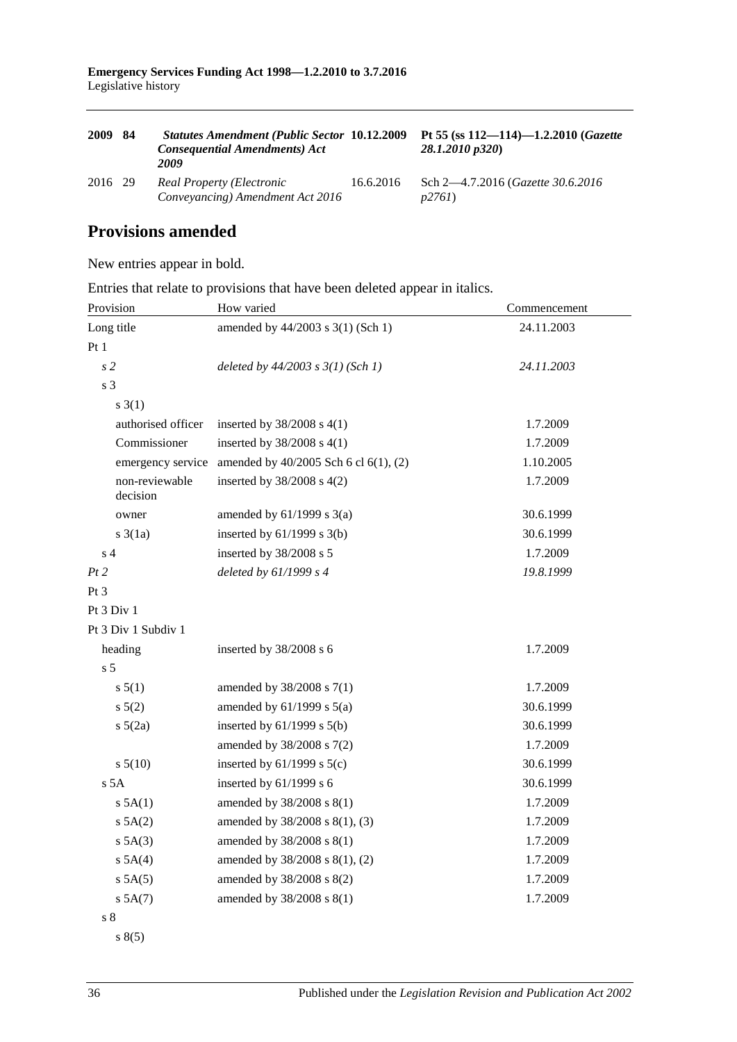| 2009    | 84 | <b>Statutes Amendment (Public Sector 10.12.2009</b><br><b>Consequential Amendments) Act</b><br>2009 |           | Pt 55 (ss $112 - 114$ ) $-1.2.2010$ (Gazette<br>28.1.2010 p320) |
|---------|----|-----------------------------------------------------------------------------------------------------|-----------|-----------------------------------------------------------------|
| 2016 29 |    | Real Property (Electronic<br>Conveyancing) Amendment Act 2016                                       | 16.6.2016 | Sch 2—4.7.2016 ( <i>Gazette 30.6.2016</i><br>p2761              |

## **Provisions amended**

New entries appear in bold.

Entries that relate to provisions that have been deleted appear in italics.

| Provision                  | How varied                            | Commencement |  |
|----------------------------|---------------------------------------|--------------|--|
| Long title                 | amended by 44/2003 s 3(1) (Sch 1)     | 24.11.2003   |  |
| Pt1                        |                                       |              |  |
| $\sqrt{s}$ 2               | deleted by $44/2003$ s $3(1)$ (Sch 1) | 24.11.2003   |  |
| s <sub>3</sub>             |                                       |              |  |
| $s \; 3(1)$                |                                       |              |  |
| authorised officer         | inserted by $38/2008$ s 4(1)          | 1.7.2009     |  |
| Commissioner               | inserted by $38/2008$ s 4(1)          | 1.7.2009     |  |
| emergency service          | amended by 40/2005 Sch 6 cl 6(1), (2) | 1.10.2005    |  |
| non-reviewable<br>decision | inserted by $38/2008$ s $4(2)$        | 1.7.2009     |  |
| owner                      | amended by $61/1999$ s $3(a)$         | 30.6.1999    |  |
| $s \cdot 3(1a)$            | inserted by $61/1999$ s $3(b)$        | 30.6.1999    |  |
| s <sub>4</sub>             | inserted by 38/2008 s 5               | 1.7.2009     |  |
| Pt2                        | deleted by 61/1999 s 4                | 19.8.1999    |  |
| Pt 3                       |                                       |              |  |
| Pt 3 Div 1                 |                                       |              |  |
| Pt 3 Div 1 Subdiv 1        |                                       |              |  |
| heading                    | inserted by 38/2008 s 6               | 1.7.2009     |  |
| s <sub>5</sub>             |                                       |              |  |
| s 5(1)                     | amended by 38/2008 s 7(1)             | 1.7.2009     |  |
| s 5(2)                     | amended by $61/1999$ s $5(a)$         | 30.6.1999    |  |
| $s\ 5(2a)$                 | inserted by $61/1999$ s $5(b)$        | 30.6.1999    |  |
|                            | amended by 38/2008 s 7(2)             | 1.7.2009     |  |
| s 5(10)                    | inserted by $61/1999$ s $5(c)$        | 30.6.1999    |  |
| s <sub>5A</sub>            | inserted by $61/1999$ s 6             | 30.6.1999    |  |
| $s$ 5A(1)                  | amended by 38/2008 s 8(1)             | 1.7.2009     |  |
| s 5A(2)                    | amended by 38/2008 s 8(1), (3)        | 1.7.2009     |  |
| s 5A(3)                    | amended by 38/2008 s 8(1)             | 1.7.2009     |  |
| $s$ 5A(4)                  | amended by 38/2008 s 8(1), (2)        | 1.7.2009     |  |
| s 5A(5)                    | amended by 38/2008 s 8(2)             | 1.7.2009     |  |
| s 5A(7)                    | amended by 38/2008 s 8(1)             | 1.7.2009     |  |
| s <sub>8</sub>             |                                       |              |  |

s 8(5)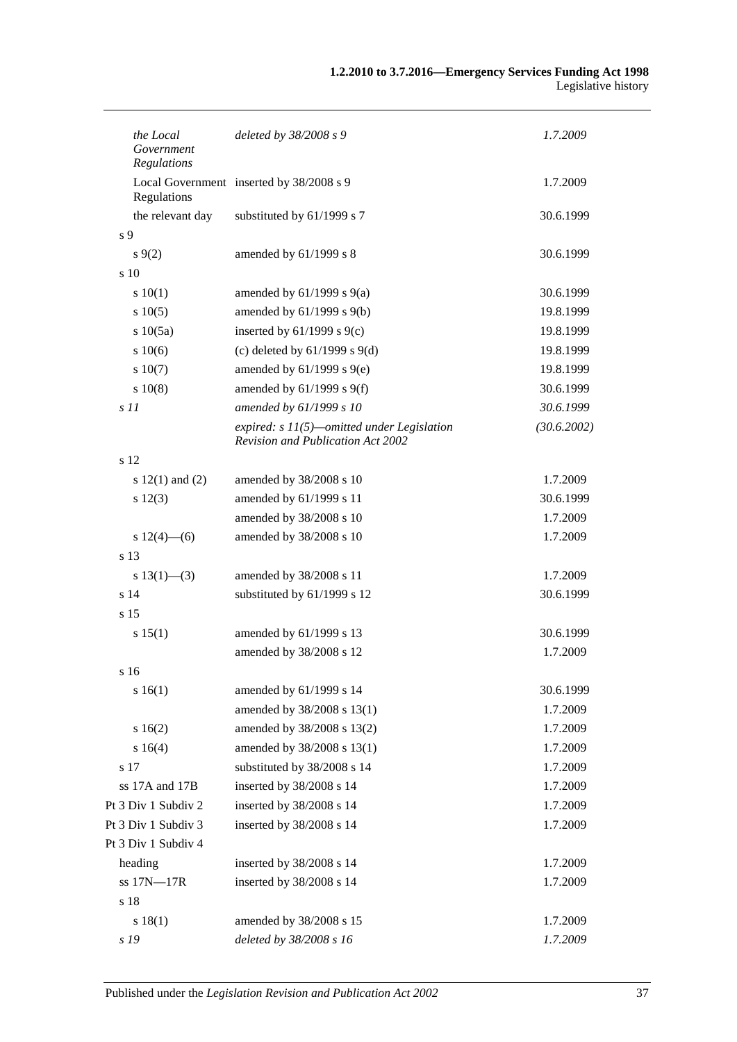| the Local<br>Government<br>Regulations | deleted by 38/2008 s 9                                                            | 1.7.2009    |
|----------------------------------------|-----------------------------------------------------------------------------------|-------------|
| Regulations                            | Local Government inserted by 38/2008 s 9                                          | 1.7.2009    |
| the relevant day                       | substituted by 61/1999 s 7                                                        | 30.6.1999   |
| s 9                                    |                                                                                   |             |
| $s \, 9(2)$                            | amended by 61/1999 s 8                                                            | 30.6.1999   |
| s <sub>10</sub>                        |                                                                                   |             |
| 10(1)                                  | amended by $61/1999$ s $9(a)$                                                     | 30.6.1999   |
| s 10(5)                                | amended by $61/1999$ s $9(b)$                                                     | 19.8.1999   |
| s 10(5a)                               | inserted by $61/1999$ s $9(c)$                                                    | 19.8.1999   |
| s 10(6)                                | (c) deleted by $61/1999$ s $9(d)$                                                 | 19.8.1999   |
| s 10(7)                                | amended by $61/1999$ s $9(e)$                                                     | 19.8.1999   |
| 10(8)                                  | amended by $61/1999$ s $9(f)$                                                     | 30.6.1999   |
| s <sub>11</sub>                        | amended by 61/1999 s 10                                                           | 30.6.1999   |
|                                        | expired: $s$ 11(5)—omitted under Legislation<br>Revision and Publication Act 2002 | (30.6.2002) |
| s 12                                   |                                                                                   |             |
| s $12(1)$ and $(2)$                    | amended by 38/2008 s 10                                                           | 1.7.2009    |
| s 12(3)                                | amended by 61/1999 s 11                                                           | 30.6.1999   |
|                                        | amended by 38/2008 s 10                                                           | 1.7.2009    |
| s $12(4)$ - (6)                        | amended by 38/2008 s 10                                                           | 1.7.2009    |
| s 13                                   |                                                                                   |             |
| s $13(1)$ —(3)                         | amended by 38/2008 s 11                                                           | 1.7.2009    |
| s <sub>14</sub>                        | substituted by 61/1999 s 12                                                       | 30.6.1999   |
| s <sub>15</sub>                        |                                                                                   |             |
| s 15(1)                                | amended by 61/1999 s 13                                                           | 30.6.1999   |
|                                        | amended by 38/2008 s 12                                                           | 1.7.2009    |
| s 16                                   |                                                                                   |             |
| s 16(1)                                | amended by 61/1999 s 14                                                           | 30.6.1999   |
|                                        | amended by 38/2008 s 13(1)                                                        | 1.7.2009    |
| s 16(2)                                | amended by 38/2008 s 13(2)                                                        | 1.7.2009    |
| s 16(4)                                | amended by 38/2008 s 13(1)                                                        | 1.7.2009    |
| s 17                                   | substituted by 38/2008 s 14                                                       | 1.7.2009    |
| ss 17A and 17B                         | inserted by 38/2008 s 14                                                          | 1.7.2009    |
| Pt 3 Div 1 Subdiv 2                    | inserted by 38/2008 s 14                                                          | 1.7.2009    |
| Pt 3 Div 1 Subdiv 3                    | inserted by 38/2008 s 14                                                          | 1.7.2009    |
| Pt 3 Div 1 Subdiv 4                    |                                                                                   |             |
| heading                                | inserted by 38/2008 s 14                                                          | 1.7.2009    |
| ss 17N-17R                             | inserted by 38/2008 s 14                                                          | 1.7.2009    |
| s 18                                   |                                                                                   |             |
| s 18(1)                                | amended by 38/2008 s 15                                                           | 1.7.2009    |
| s 19                                   | deleted by 38/2008 s 16                                                           | 1.7.2009    |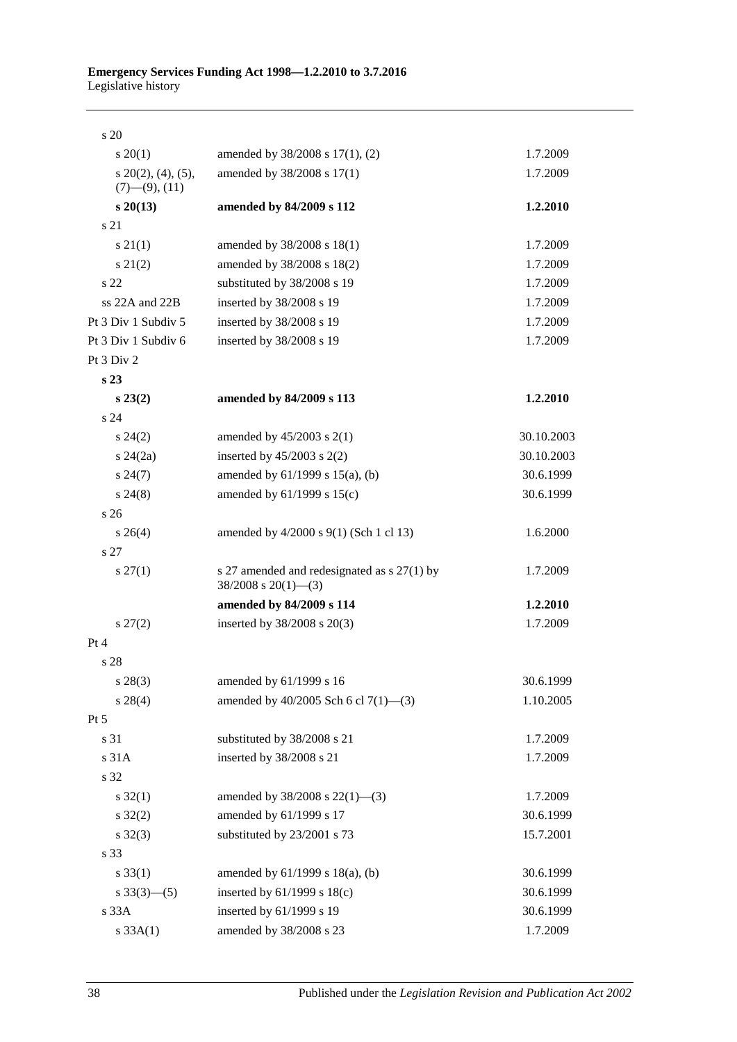| s 20                                           |                                                                           |            |
|------------------------------------------------|---------------------------------------------------------------------------|------------|
| $s \, 20(1)$                                   | amended by 38/2008 s 17(1), (2)                                           | 1.7.2009   |
| $s$ 20(2), (4), (5),<br>$(7)$ — $(9)$ , $(11)$ | amended by 38/2008 s 17(1)                                                | 1.7.2009   |
| $s\,20(13)$                                    | amended by 84/2009 s 112                                                  | 1.2.2010   |
| s 21                                           |                                                                           |            |
| s 21(1)                                        | amended by 38/2008 s 18(1)                                                | 1.7.2009   |
| $s\,21(2)$                                     | amended by 38/2008 s 18(2)                                                | 1.7.2009   |
| s 22                                           | substituted by 38/2008 s 19                                               | 1.7.2009   |
| ss 22A and 22B                                 | inserted by 38/2008 s 19                                                  | 1.7.2009   |
| Pt 3 Div 1 Subdiv 5                            | inserted by 38/2008 s 19                                                  | 1.7.2009   |
| Pt 3 Div 1 Subdiv 6                            | inserted by 38/2008 s 19                                                  | 1.7.2009   |
| Pt 3 Div 2                                     |                                                                           |            |
| s <sub>23</sub>                                |                                                                           |            |
| $s\,23(2)$                                     | amended by 84/2009 s 113                                                  | 1.2.2010   |
| s 24                                           |                                                                           |            |
| $s\,24(2)$                                     | amended by $45/2003$ s $2(1)$                                             | 30.10.2003 |
| $s\,24(2a)$                                    | inserted by $45/2003$ s $2(2)$                                            | 30.10.2003 |
| $s\,24(7)$                                     | amended by $61/1999$ s $15(a)$ , (b)                                      | 30.6.1999  |
| $s\,24(8)$                                     | amended by $61/1999$ s $15(c)$                                            | 30.6.1999  |
| s 26                                           |                                                                           |            |
| $s \; 26(4)$                                   | amended by 4/2000 s 9(1) (Sch 1 cl 13)                                    | 1.6.2000   |
| s <sub>27</sub>                                |                                                                           |            |
| $s \, 27(1)$                                   | s 27 amended and redesignated as $s$ 27(1) by<br>$38/2008$ s $20(1)$ —(3) | 1.7.2009   |
|                                                | amended by 84/2009 s 114                                                  | 1.2.2010   |
| $s\,27(2)$                                     | inserted by 38/2008 s 20(3)                                               | 1.7.2009   |
| Pt 4                                           |                                                                           |            |
| s 28                                           |                                                                           |            |
| $s\,28(3)$                                     | amended by 61/1999 s 16                                                   | 30.6.1999  |
| $s\,28(4)$                                     | amended by 40/2005 Sch 6 cl 7(1)-(3)                                      | 1.10.2005  |
| Pt 5                                           |                                                                           |            |
| s 31                                           | substituted by 38/2008 s 21                                               | 1.7.2009   |
| s 31A                                          | inserted by 38/2008 s 21                                                  | 1.7.2009   |
| s 32                                           |                                                                           |            |
| $s \, 32(1)$                                   | amended by $38/2008$ s $22(1)$ —(3)                                       | 1.7.2009   |
| $s \, 32(2)$                                   | amended by 61/1999 s 17                                                   | 30.6.1999  |
| $s \, 32(3)$                                   | substituted by 23/2001 s 73                                               | 15.7.2001  |
| s 33                                           |                                                                           |            |
| s 33(1)                                        | amended by $61/1999$ s $18(a)$ , (b)                                      | 30.6.1999  |
| $s \frac{33(3) - (5)}{2}$                      | inserted by $61/1999$ s $18(c)$                                           | 30.6.1999  |
| s 33A                                          | inserted by 61/1999 s 19                                                  | 30.6.1999  |
| s 33A(1)                                       | amended by 38/2008 s 23                                                   | 1.7.2009   |